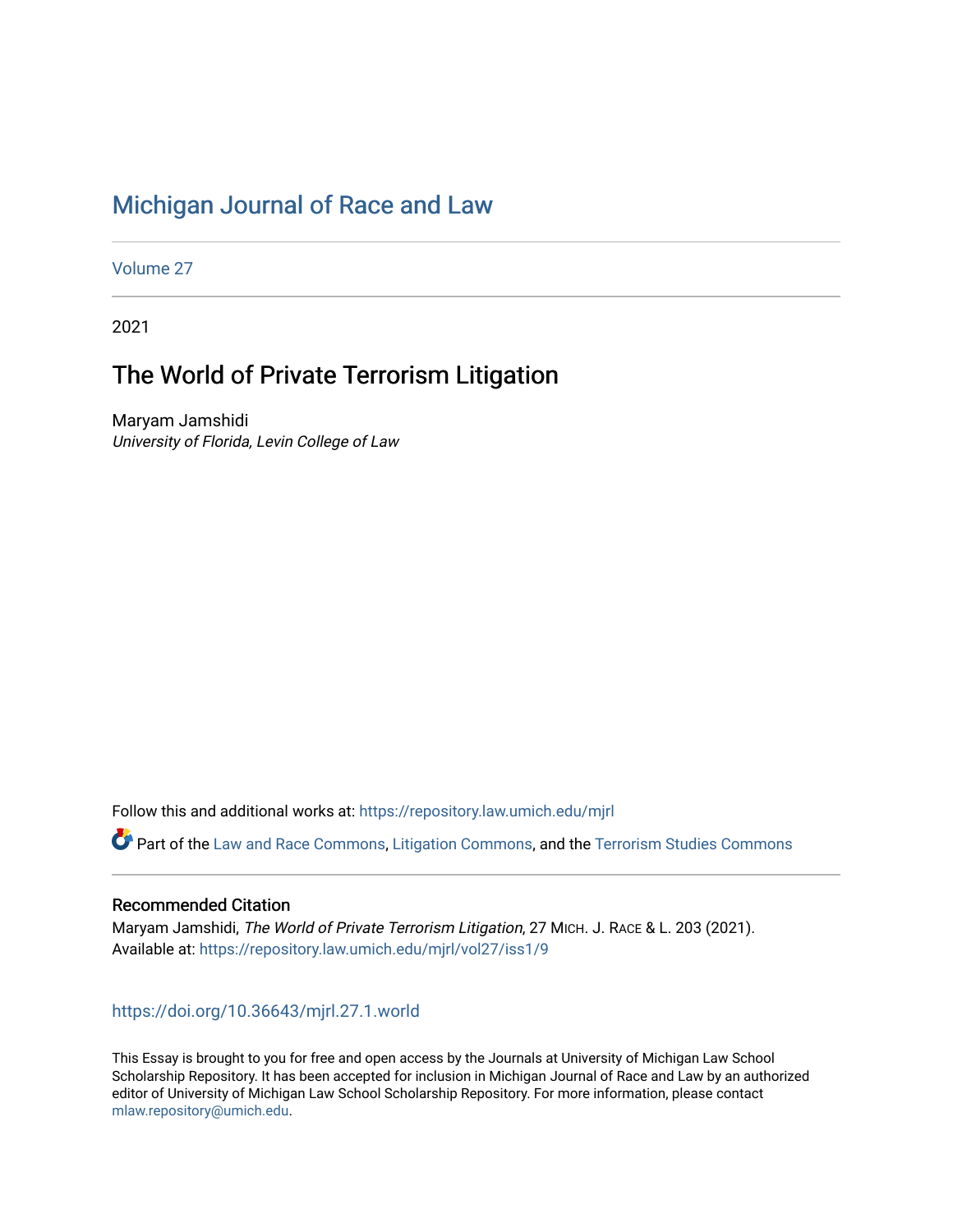## [Michigan Journal of Race and Law](https://repository.law.umich.edu/mjrl)

[Volume 27](https://repository.law.umich.edu/mjrl/vol27)

2021

# The World of Private Terrorism Litigation

Maryam Jamshidi University of Florida, Levin College of Law

Follow this and additional works at: [https://repository.law.umich.edu/mjrl](https://repository.law.umich.edu/mjrl?utm_source=repository.law.umich.edu%2Fmjrl%2Fvol27%2Fiss1%2F9&utm_medium=PDF&utm_campaign=PDFCoverPages) 

Part of the [Law and Race Commons,](https://network.bepress.com/hgg/discipline/1300?utm_source=repository.law.umich.edu%2Fmjrl%2Fvol27%2Fiss1%2F9&utm_medium=PDF&utm_campaign=PDFCoverPages) [Litigation Commons](https://network.bepress.com/hgg/discipline/910?utm_source=repository.law.umich.edu%2Fmjrl%2Fvol27%2Fiss1%2F9&utm_medium=PDF&utm_campaign=PDFCoverPages), and the Terrorism Studies Commons

#### Recommended Citation

Maryam Jamshidi, The World of Private Terrorism Litigation, 27 MICH. J. RACE & L. 203 (2021). Available at: [https://repository.law.umich.edu/mjrl/vol27/iss1/9](https://repository.law.umich.edu/mjrl/vol27/iss1/9?utm_source=repository.law.umich.edu%2Fmjrl%2Fvol27%2Fiss1%2F9&utm_medium=PDF&utm_campaign=PDFCoverPages) 

### <https://doi.org/10.36643/mjrl.27.1.world>

This Essay is brought to you for free and open access by the Journals at University of Michigan Law School Scholarship Repository. It has been accepted for inclusion in Michigan Journal of Race and Law by an authorized editor of University of Michigan Law School Scholarship Repository. For more information, please contact [mlaw.repository@umich.edu.](mailto:mlaw.repository@umich.edu)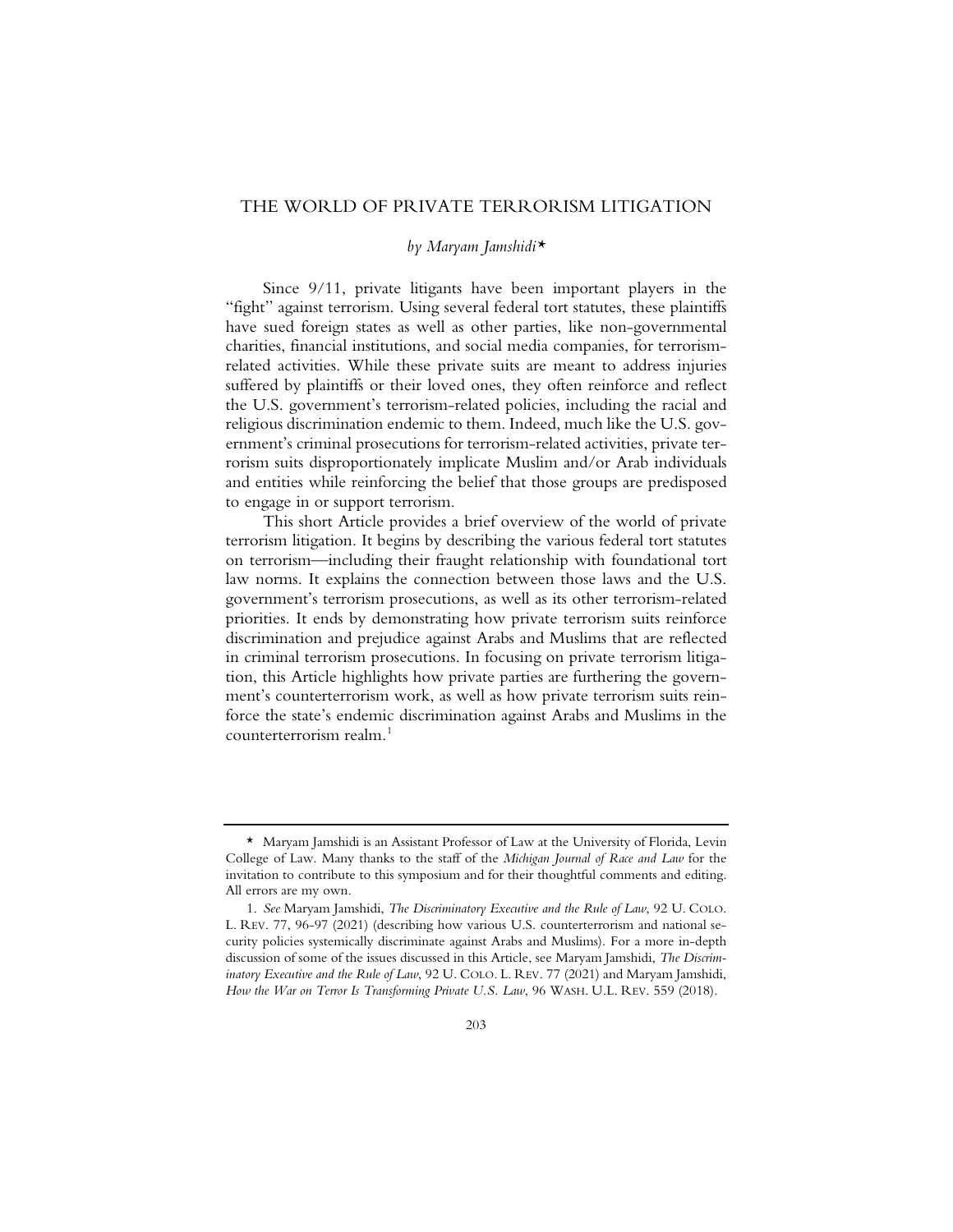### THE WORLD OF PRIVATE TERRORISM LITIGATION

#### *by Maryam Jamshidi\**

Since 9/11, private litigants have been important players in the "fight" against terrorism. Using several federal tort statutes, these plaintiffs have sued foreign states as well as other parties, like non-governmental charities, financial institutions, and social media companies, for terrorismrelated activities. While these private suits are meant to address injuries suffered by plaintiffs or their loved ones, they often reinforce and reflect the U.S. government's terrorism-related policies, including the racial and religious discrimination endemic to them. Indeed, much like the U.S. government's criminal prosecutions for terrorism-related activities, private terrorism suits disproportionately implicate Muslim and/or Arab individuals and entities while reinforcing the belief that those groups are predisposed to engage in or support terrorism.

This short Article provides a brief overview of the world of private terrorism litigation. It begins by describing the various federal tort statutes on terrorism—including their fraught relationship with foundational tort law norms. It explains the connection between those laws and the U.S. government's terrorism prosecutions, as well as its other terrorism-related priorities. It ends by demonstrating how private terrorism suits reinforce discrimination and prejudice against Arabs and Muslims that are reflected in criminal terrorism prosecutions. In focusing on private terrorism litigation, this Article highlights how private parties are furthering the government's counterterrorism work, as well as how private terrorism suits reinforce the state's endemic discrimination against Arabs and Muslims in the counterterrorism realm.1

<sup>\*</sup> Maryam Jamshidi is an Assistant Professor of Law at the University of Florida, Levin College of Law. Many thanks to the staff of the *Michigan Journal of Race and Law* for the invitation to contribute to this symposium and for their thoughtful comments and editing. All errors are my own.

<sup>1.</sup> *See* Maryam Jamshidi, *The Discriminatory Executive and the Rule of Law*, 92 U. COLO. L. REV. 77, 96-97 (2021) (describing how various U.S. counterterrorism and national security policies systemically discriminate against Arabs and Muslims). For a more in-depth discussion of some of the issues discussed in this Article, see Maryam Jamshidi, *The Discriminatory Executive and the Rule of Law*, 92 U. COLO. L. REV. 77 (2021) and Maryam Jamshidi, *How the War on Terror Is Transforming Private U.S. Law*, 96 WASH. U.L. REV. 559 (2018).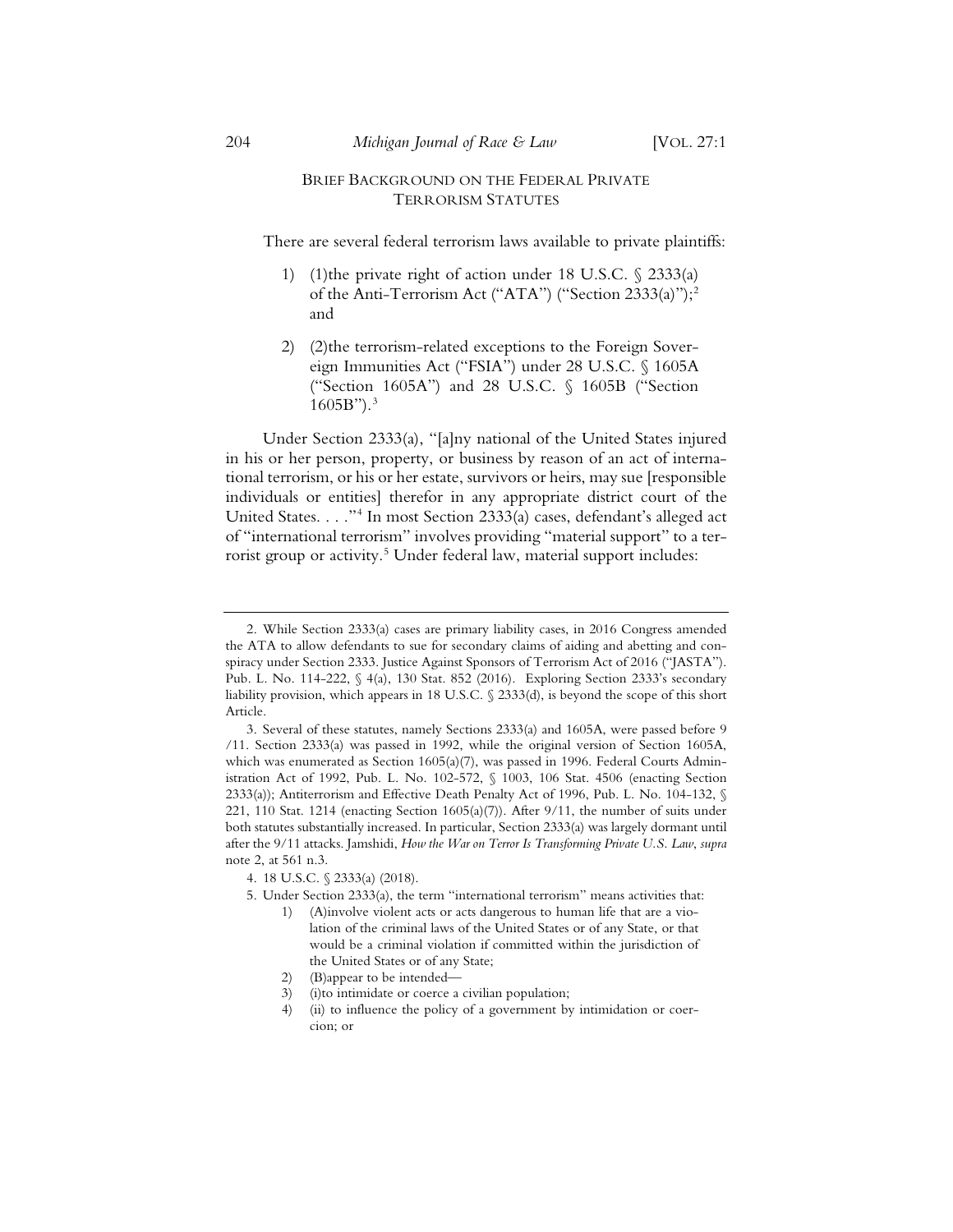#### BRIEF BACKGROUND ON THE FEDERAL PRIVATE TERRORISM STATUTES

There are several federal terrorism laws available to private plaintiffs:

- 1) (1)the private right of action under 18 U.S.C. § 2333(a) of the Anti-Terrorism Act ("ATA") ("Section 2333(a)");<sup>2</sup> and
- 2) (2)the terrorism-related exceptions to the Foreign Sovereign Immunities Act ("FSIA") under 28 U.S.C. § 1605A ("Section 1605A") and 28 U.S.C. § 1605B ("Section  $1605B$ ").<sup>3</sup>

Under Section 2333(a), "[a]ny national of the United States injured in his or her person, property, or business by reason of an act of international terrorism, or his or her estate, survivors or heirs, may sue [responsible individuals or entities] therefor in any appropriate district court of the United States. . . ."4 In most Section 2333(a) cases, defendant's alleged act of "international terrorism" involves providing "material support" to a terrorist group or activity.<sup>5</sup> Under federal law, material support includes:

<sup>2.</sup> While Section 2333(a) cases are primary liability cases, in 2016 Congress amended the ATA to allow defendants to sue for secondary claims of aiding and abetting and conspiracy under Section 2333. Justice Against Sponsors of Terrorism Act of 2016 ("JASTA"). Pub. L. No. 114-222, § 4(a), 130 Stat. 852 (2016). Exploring Section 2333's secondary liability provision, which appears in 18 U.S.C. § 2333(d), is beyond the scope of this short Article.

<sup>3.</sup> Several of these statutes, namely Sections 2333(a) and 1605A, were passed before 9 /11. Section 2333(a) was passed in 1992, while the original version of Section 1605A, which was enumerated as Section 1605(a)(7), was passed in 1996. Federal Courts Administration Act of 1992, Pub. L. No. 102-572, § 1003, 106 Stat. 4506 (enacting Section 2333(a)); Antiterrorism and Effective Death Penalty Act of 1996, Pub. L. No. 104-132, § 221, 110 Stat. 1214 (enacting Section 1605(a)(7)). After 9/11, the number of suits under both statutes substantially increased. In particular, Section 2333(a) was largely dormant until after the 9/11 attacks. Jamshidi, *How the War on Terror Is Transforming Private U.S. Law*, *supra* note 2, at 561 n.3.

<sup>4. 18</sup> U.S.C. § 2333(a) (2018).

<sup>5.</sup> Under Section 2333(a), the term "international terrorism" means activities that:

<sup>1) (</sup>A)involve violent acts or acts dangerous to human life that are a violation of the criminal laws of the United States or of any State, or that would be a criminal violation if committed within the jurisdiction of the United States or of any State;

<sup>2) (</sup>B)appear to be intended—

<sup>3) (</sup>i)to intimidate or coerce a civilian population;

<sup>4) (</sup>ii) to influence the policy of a government by intimidation or coercion; or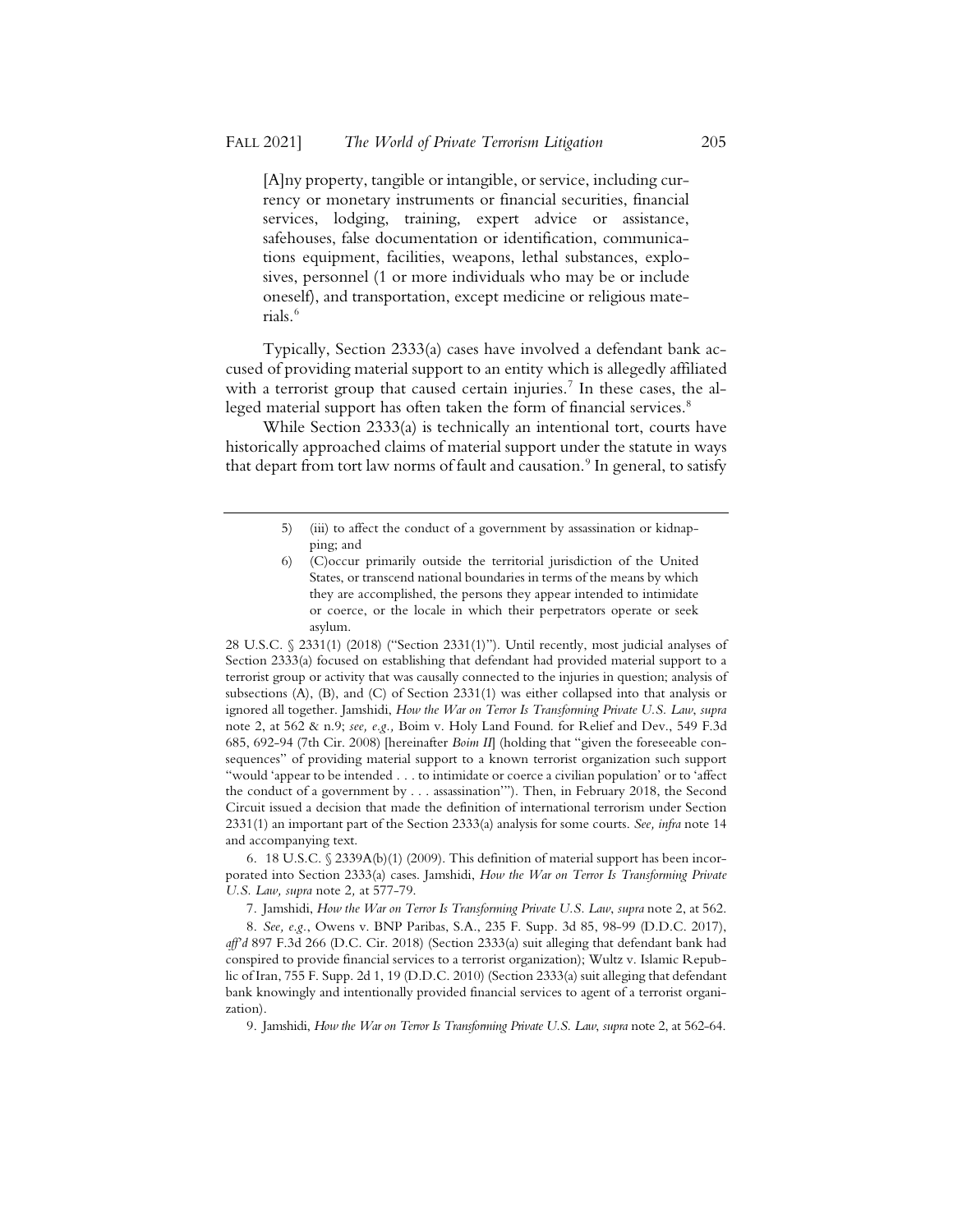[A]ny property, tangible or intangible, or service, including currency or monetary instruments or financial securities, financial services, lodging, training, expert advice or assistance, safehouses, false documentation or identification, communications equipment, facilities, weapons, lethal substances, explosives, personnel (1 or more individuals who may be or include oneself), and transportation, except medicine or religious materials.6

Typically, Section 2333(a) cases have involved a defendant bank accused of providing material support to an entity which is allegedly affiliated with a terrorist group that caused certain injuries.<sup>7</sup> In these cases, the alleged material support has often taken the form of financial services.<sup>8</sup>

While Section 2333(a) is technically an intentional tort, courts have historically approached claims of material support under the statute in ways that depart from tort law norms of fault and causation.<sup>9</sup> In general, to satisfy

28 U.S.C. § 2331(1) (2018) ("Section 2331(1)"). Until recently, most judicial analyses of Section 2333(a) focused on establishing that defendant had provided material support to a terrorist group or activity that was causally connected to the injuries in question; analysis of subsections (A), (B), and (C) of Section 2331(1) was either collapsed into that analysis or ignored all together. Jamshidi, *How the War on Terror Is Transforming Private U.S. Law*, *supra*  note 2, at 562 & n.9; *see, e.g.,* Boim v. Holy Land Found. for Relief and Dev., 549 F.3d 685, 692-94 (7th Cir. 2008) [hereinafter *Boim II*] (holding that "given the foreseeable consequences" of providing material support to a known terrorist organization such support "would 'appear to be intended . . . to intimidate or coerce a civilian population' or to 'affect the conduct of a government by . . . assassination'"). Then, in February 2018, the Second Circuit issued a decision that made the definition of international terrorism under Section 2331(1) an important part of the Section 2333(a) analysis for some courts. *See, infra* note 14 and accompanying text.

6. 18 U.S.C. § 2339A(b)(1) (2009). This definition of material support has been incorporated into Section 2333(a) cases. Jamshidi, *How the War on Terror Is Transforming Private U.S. Law, supra* note 2*,* at 577-79.

7. Jamshidi, *How the War on Terror Is Transforming Private U.S. Law*, *supra* note 2, at 562.

8. *See, e.g.*, Owens v. BNP Paribas, S.A., 235 F. Supp. 3d 85, 98-99 (D.D.C. 2017), *aff'd* 897 F.3d 266 (D.C. Cir. 2018) (Section 2333(a) suit alleging that defendant bank had conspired to provide financial services to a terrorist organization); Wultz v. Islamic Republic of Iran, 755 F. Supp. 2d 1, 19 (D.D.C. 2010) (Section 2333(a) suit alleging that defendant bank knowingly and intentionally provided financial services to agent of a terrorist organization).

9. Jamshidi, *How the War on Terror Is Transforming Private U.S. Law*, *supra* note 2, at 562-64.

<sup>5) (</sup>iii) to affect the conduct of a government by assassination or kidnapping; and

<sup>6) (</sup>C)occur primarily outside the territorial jurisdiction of the United States, or transcend national boundaries in terms of the means by which they are accomplished, the persons they appear intended to intimidate or coerce, or the locale in which their perpetrators operate or seek asylum.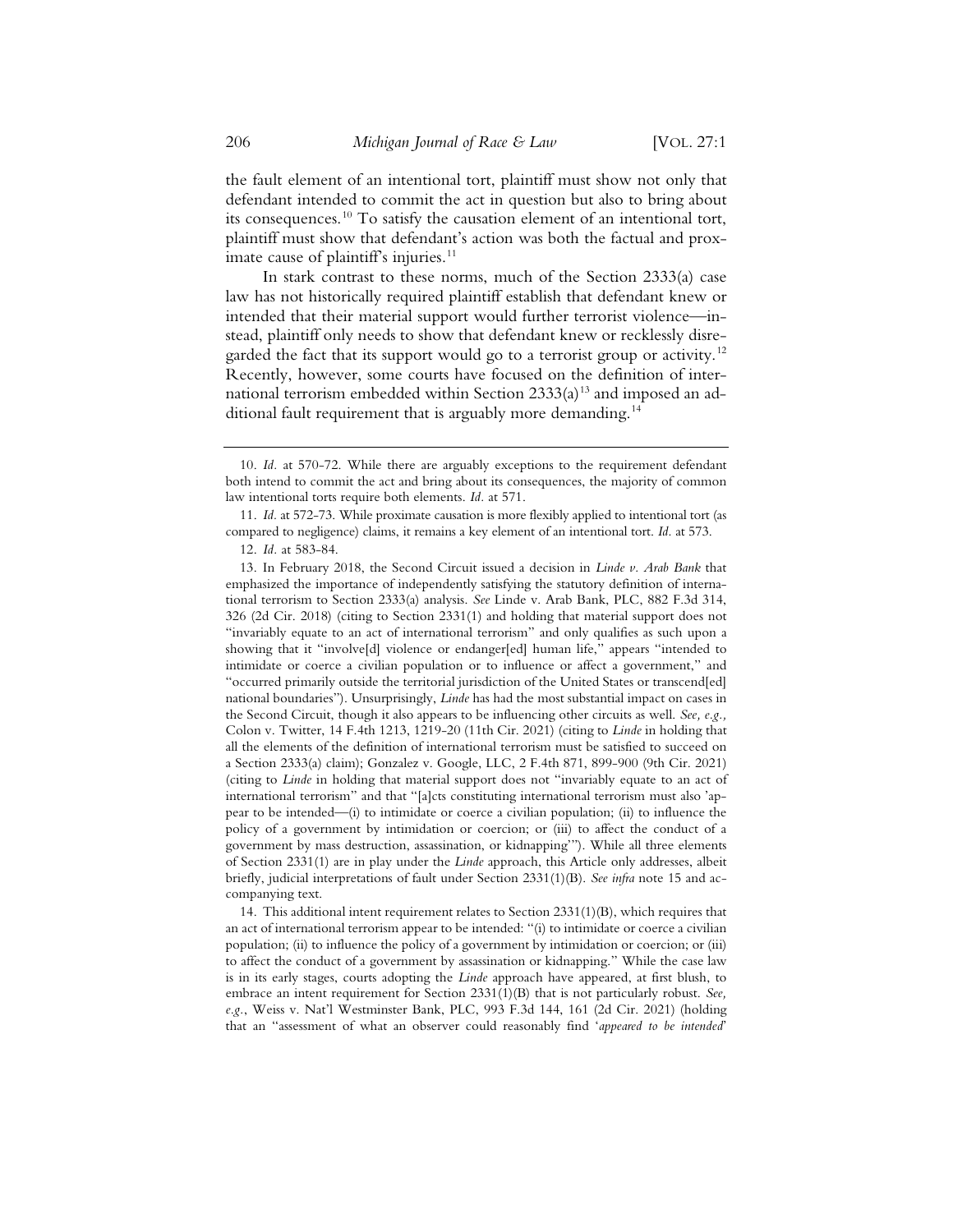the fault element of an intentional tort, plaintiff must show not only that defendant intended to commit the act in question but also to bring about its consequences.<sup>10</sup> To satisfy the causation element of an intentional tort, plaintiff must show that defendant's action was both the factual and proximate cause of plaintiff's injuries. $11$ 

In stark contrast to these norms, much of the Section 2333(a) case law has not historically required plaintiff establish that defendant knew or intended that their material support would further terrorist violence—instead, plaintiff only needs to show that defendant knew or recklessly disregarded the fact that its support would go to a terrorist group or activity.<sup>12</sup> Recently, however, some courts have focused on the definition of international terrorism embedded within Section  $2333(a)^{13}$  and imposed an additional fault requirement that is arguably more demanding.<sup>14</sup>

14. This additional intent requirement relates to Section 2331(1)(B), which requires that an act of international terrorism appear to be intended: "(i) to intimidate or coerce a civilian population; (ii) to influence the policy of a government by intimidation or coercion; or (iii) to affect the conduct of a government by assassination or kidnapping." While the case law is in its early stages, courts adopting the *Linde* approach have appeared, at first blush, to embrace an intent requirement for Section 2331(1)(B) that is not particularly robust. *See, e.g.*, Weiss v. Nat'l Westminster Bank, PLC, 993 F.3d 144, 161 (2d Cir. 2021) (holding that an "assessment of what an observer could reasonably find '*appeared to be intended*'

<sup>10.</sup> *Id.* at 570-72. While there are arguably exceptions to the requirement defendant both intend to commit the act and bring about its consequences, the majority of common law intentional torts require both elements. *Id.* at 571.

<sup>11.</sup> *Id.* at 572-73. While proximate causation is more flexibly applied to intentional tort (as compared to negligence) claims, it remains a key element of an intentional tort. *Id.* at 573.

<sup>12.</sup> *Id.* at 583-84.

<sup>13.</sup> In February 2018, the Second Circuit issued a decision in *Linde v. Arab Bank* that emphasized the importance of independently satisfying the statutory definition of international terrorism to Section 2333(a) analysis. *See* Linde v. Arab Bank, PLC, 882 F.3d 314, 326 (2d Cir. 2018) (citing to Section 2331(1) and holding that material support does not "invariably equate to an act of international terrorism" and only qualifies as such upon a showing that it "involve[d] violence or endanger[ed] human life," appears "intended to intimidate or coerce a civilian population or to influence or affect a government," and "occurred primarily outside the territorial jurisdiction of the United States or transcend[ed] national boundaries"). Unsurprisingly, *Linde* has had the most substantial impact on cases in the Second Circuit, though it also appears to be influencing other circuits as well. *See, e.g.,*  Colon v. Twitter, 14 F.4th 1213, 1219-20 (11th Cir. 2021) (citing to *Linde* in holding that all the elements of the definition of international terrorism must be satisfied to succeed on a Section 2333(a) claim); Gonzalez v. Google, LLC, 2 F.4th 871, 899-900 (9th Cir. 2021) (citing to *Linde* in holding that material support does not "invariably equate to an act of international terrorism" and that "[a]cts constituting international terrorism must also 'appear to be intended—(i) to intimidate or coerce a civilian population; (ii) to influence the policy of a government by intimidation or coercion; or (iii) to affect the conduct of a government by mass destruction, assassination, or kidnapping'"). While all three elements of Section 2331(1) are in play under the *Linde* approach, this Article only addresses, albeit briefly, judicial interpretations of fault under Section 2331(1)(B). *See infra* note 15 and accompanying text.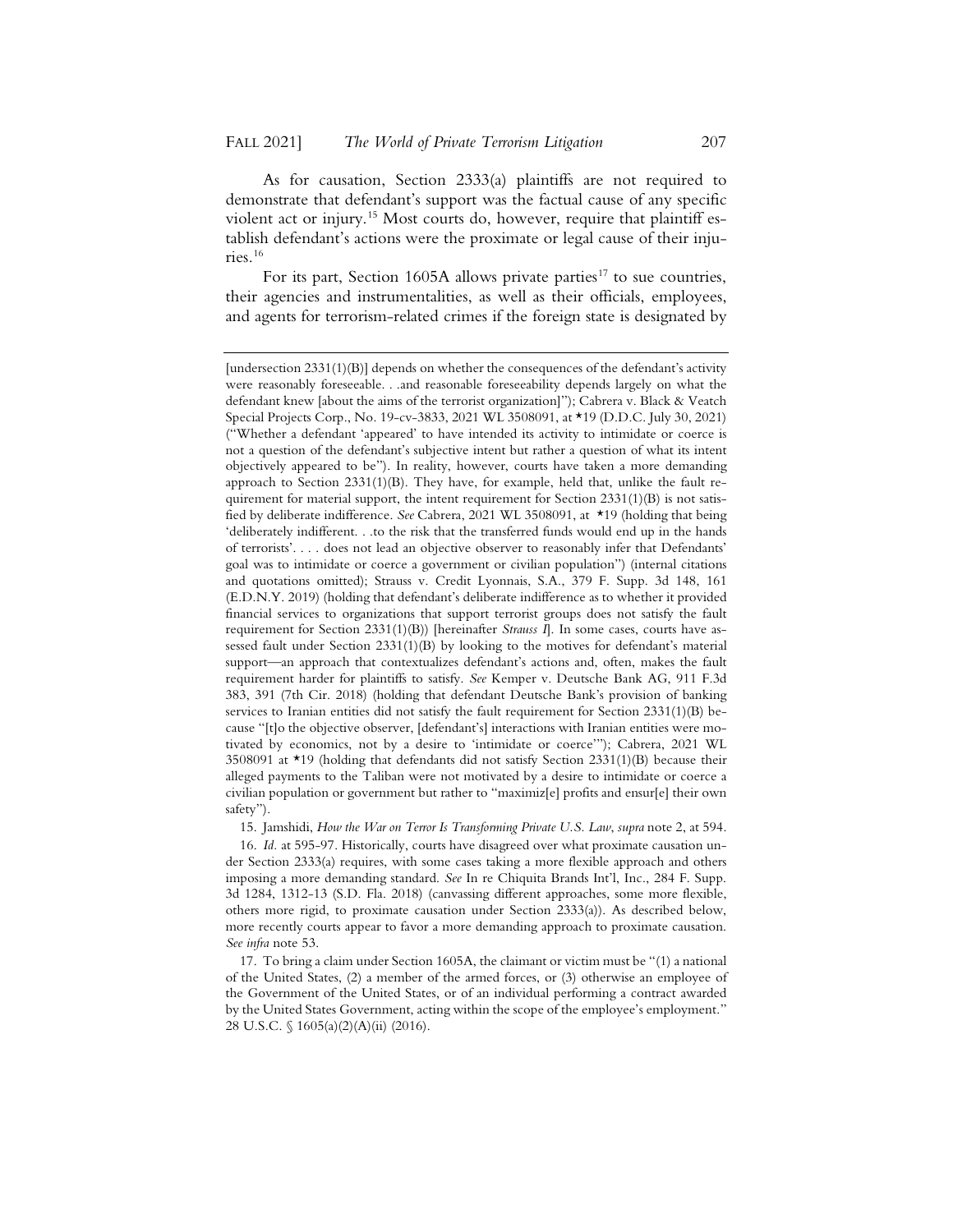As for causation, Section 2333(a) plaintiffs are not required to demonstrate that defendant's support was the factual cause of any specific violent act or injury.<sup>15</sup> Most courts do, however, require that plaintiff establish defendant's actions were the proximate or legal cause of their injuries.16

For its part, Section 1605A allows private parties<sup>17</sup> to sue countries, their agencies and instrumentalities, as well as their officials, employees, and agents for terrorism-related crimes if the foreign state is designated by

15. Jamshidi, *How the War on Terror Is Transforming Private U.S. Law*, *supra* note 2, at 594.

16. *Id.* at 595-97. Historically, courts have disagreed over what proximate causation under Section 2333(a) requires, with some cases taking a more flexible approach and others imposing a more demanding standard. *See* In re Chiquita Brands Int'l, Inc., 284 F. Supp. 3d 1284, 1312-13 (S.D. Fla. 2018) (canvassing different approaches, some more flexible, others more rigid, to proximate causation under Section 2333(a)). As described below, more recently courts appear to favor a more demanding approach to proximate causation. *See infra* note 53.

17. To bring a claim under Section 1605A, the claimant or victim must be "(1) a national of the United States, (2) a member of the armed forces, or (3) otherwise an employee of the Government of the United States, or of an individual performing a contract awarded by the United States Government, acting within the scope of the employee's employment." 28 U.S.C. § 1605(a)(2)(A)(ii) (2016).

<sup>[</sup>undersection 2331(1)(B)] depends on whether the consequences of the defendant's activity were reasonably foreseeable. . .and reasonable foreseeability depends largely on what the defendant knew [about the aims of the terrorist organization]"); Cabrera v. Black & Veatch Special Projects Corp., No. 19-cv-3833, 2021 WL 3508091, at \*19 (D.D.C. July 30, 2021) ("Whether a defendant 'appeared' to have intended its activity to intimidate or coerce is not a question of the defendant's subjective intent but rather a question of what its intent objectively appeared to be"). In reality, however, courts have taken a more demanding approach to Section  $2331(1)(B)$ . They have, for example, held that, unlike the fault requirement for material support, the intent requirement for Section  $2331(1)(B)$  is not satisfied by deliberate indifference. *See* Cabrera, 2021 WL 3508091, at \*19 (holding that being 'deliberately indifferent. . .to the risk that the transferred funds would end up in the hands of terrorists'. . . . does not lead an objective observer to reasonably infer that Defendants' goal was to intimidate or coerce a government or civilian population") (internal citations and quotations omitted); Strauss v. Credit Lyonnais, S.A., 379 F. Supp. 3d 148, 161 (E.D.N.Y. 2019) (holding that defendant's deliberate indifference as to whether it provided financial services to organizations that support terrorist groups does not satisfy the fault requirement for Section 2331(1)(B)) [hereinafter *Strauss I*]. In some cases, courts have assessed fault under Section 2331(1)(B) by looking to the motives for defendant's material support—an approach that contextualizes defendant's actions and, often, makes the fault requirement harder for plaintiffs to satisfy. *See* Kemper v. Deutsche Bank AG, 911 F.3d 383, 391 (7th Cir. 2018) (holding that defendant Deutsche Bank's provision of banking services to Iranian entities did not satisfy the fault requirement for Section 2331(1)(B) because "[t]o the objective observer, [defendant's] interactions with Iranian entities were motivated by economics, not by a desire to 'intimidate or coerce'"); Cabrera, 2021 WL 3508091 at  $\star$ 19 (holding that defendants did not satisfy Section 2331(1)(B) because their alleged payments to the Taliban were not motivated by a desire to intimidate or coerce a civilian population or government but rather to "maximiz[e] profits and ensur[e] their own safety").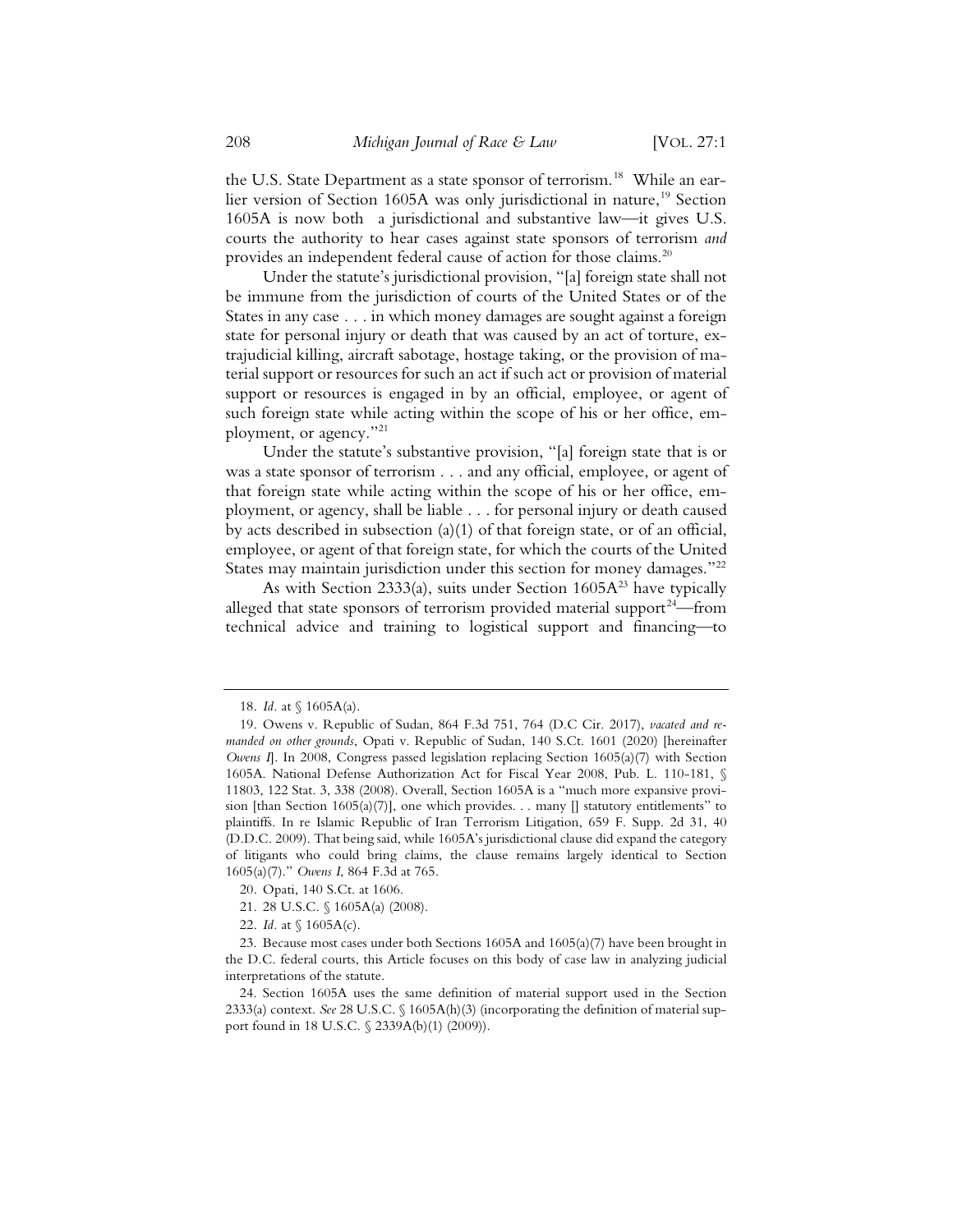the U.S. State Department as a state sponsor of terrorism.<sup>18</sup> While an earlier version of Section 1605A was only jurisdictional in nature,<sup>19</sup> Section 1605A is now both a jurisdictional and substantive law—it gives U.S. courts the authority to hear cases against state sponsors of terrorism *and* provides an independent federal cause of action for those claims.<sup>20</sup>

Under the statute's jurisdictional provision, "[a] foreign state shall not be immune from the jurisdiction of courts of the United States or of the States in any case . . . in which money damages are sought against a foreign state for personal injury or death that was caused by an act of torture, extrajudicial killing, aircraft sabotage, hostage taking, or the provision of material support or resources for such an act if such act or provision of material support or resources is engaged in by an official, employee, or agent of such foreign state while acting within the scope of his or her office, employment, or agency."21

Under the statute's substantive provision, "[a] foreign state that is or was a state sponsor of terrorism . . . and any official, employee, or agent of that foreign state while acting within the scope of his or her office, employment, or agency, shall be liable . . . for personal injury or death caused by acts described in subsection (a)(1) of that foreign state, or of an official, employee, or agent of that foreign state, for which the courts of the United States may maintain jurisdiction under this section for money damages."<sup>22</sup>

As with Section 2333(a), suits under Section  $1605A^{23}$  have typically alleged that state sponsors of terrorism provided material support<sup>24</sup>—from technical advice and training to logistical support and financing—to

<sup>18.</sup> *Id.* at § 1605A(a).

<sup>19.</sup> Owens v. Republic of Sudan, 864 F.3d 751, 764 (D.C Cir. 2017), *vacated and remanded on other grounds*, Opati v. Republic of Sudan, 140 S.Ct. 1601 (2020) [hereinafter *Owens I*]. In 2008, Congress passed legislation replacing Section 1605(a)(7) with Section 1605A. National Defense Authorization Act for Fiscal Year 2008, Pub. L. 110-181, § 11803, 122 Stat. 3, 338 (2008). Overall, Section 1605A is a "much more expansive provision [than Section 1605(a)(7)], one which provides. . . many  $[]$  statutory entitlements" to plaintiffs. In re Islamic Republic of Iran Terrorism Litigation, 659 F. Supp. 2d 31, 40 (D.D.C. 2009). That being said, while 1605A's jurisdictional clause did expand the category of litigants who could bring claims, the clause remains largely identical to Section 1605(a)(7)." *Owens I*, 864 F.3d at 765.

<sup>20.</sup> Opati, 140 S.Ct. at 1606.

<sup>21. 28</sup> U.S.C. § 1605A(a) (2008).

<sup>22.</sup> *Id.* at § 1605A(c).

<sup>23.</sup> Because most cases under both Sections 1605A and 1605(a)(7) have been brought in the D.C. federal courts, this Article focuses on this body of case law in analyzing judicial interpretations of the statute.

<sup>24.</sup> Section 1605A uses the same definition of material support used in the Section 2333(a) context. *See* 28 U.S.C. § 1605A(h)(3) (incorporating the definition of material support found in 18 U.S.C. § 2339A(b)(1) (2009)).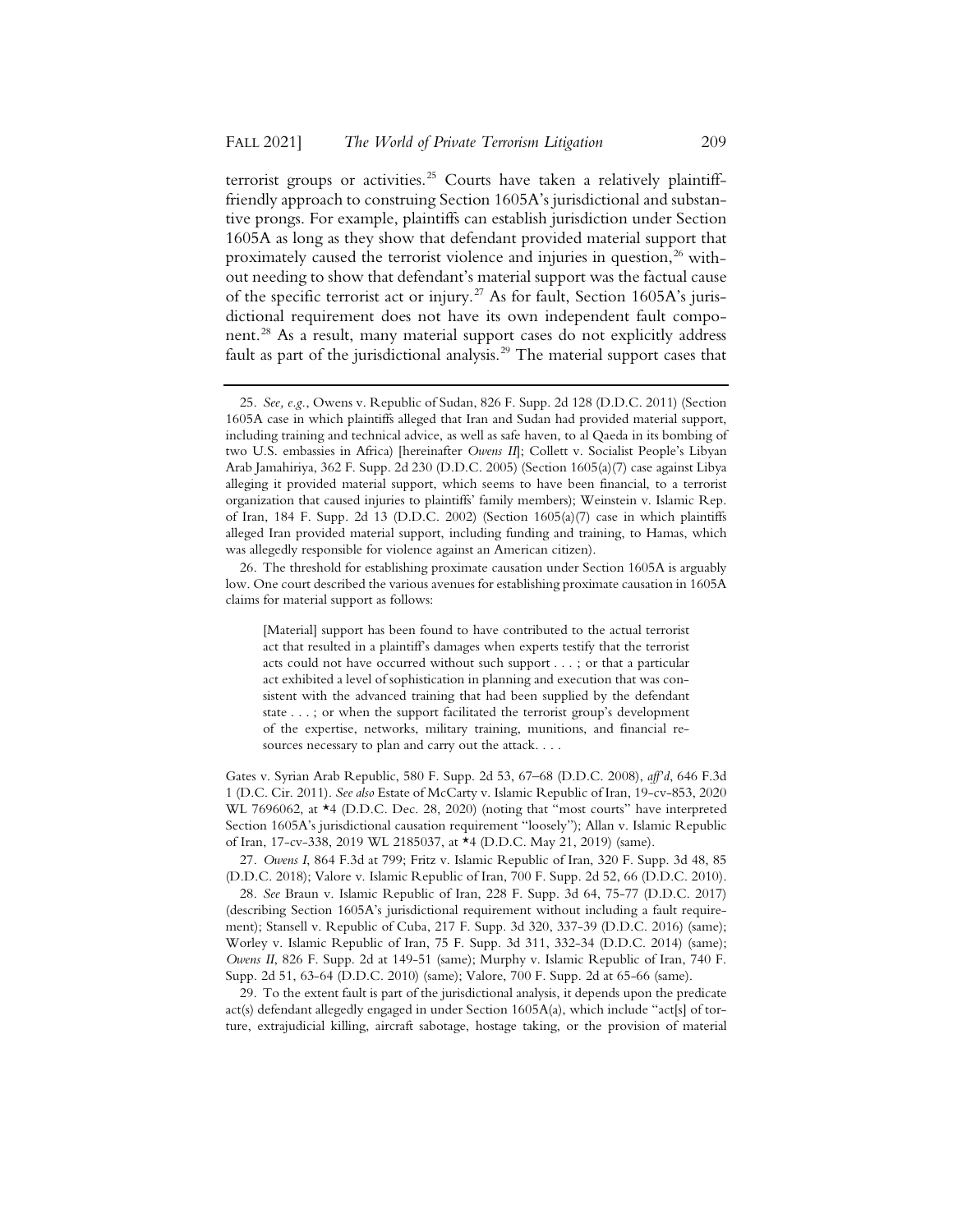terrorist groups or activities.<sup>25</sup> Courts have taken a relatively plaintifffriendly approach to construing Section 1605A's jurisdictional and substantive prongs. For example, plaintiffs can establish jurisdiction under Section 1605A as long as they show that defendant provided material support that proximately caused the terrorist violence and injuries in question.<sup>26</sup> without needing to show that defendant's material support was the factual cause of the specific terrorist act or injury.<sup>27</sup> As for fault, Section 1605A's jurisdictional requirement does not have its own independent fault component.28 As a result, many material support cases do not explicitly address fault as part of the jurisdictional analysis.<sup>29</sup> The material support cases that

26. The threshold for establishing proximate causation under Section 1605A is arguably low. One court described the various avenues for establishing proximate causation in 1605A claims for material support as follows:

[Material] support has been found to have contributed to the actual terrorist act that resulted in a plaintiff's damages when experts testify that the terrorist acts could not have occurred without such support . . . ; or that a particular act exhibited a level of sophistication in planning and execution that was consistent with the advanced training that had been supplied by the defendant state . . . ; or when the support facilitated the terrorist group's development of the expertise, networks, military training, munitions, and financial resources necessary to plan and carry out the attack. . . .

Gates v. Syrian Arab Republic, 580 F. Supp. 2d 53, 67–68 (D.D.C. 2008), *aff'd*, 646 F.3d 1 (D.C. Cir. 2011). *See also* Estate of McCarty v. Islamic Republic of Iran, 19-cv-853, 2020 WL 7696062, at \*4 (D.D.C. Dec. 28, 2020) (noting that "most courts" have interpreted Section 1605A's jurisdictional causation requirement "loosely"); Allan v. Islamic Republic of Iran, 17-cv-338, 2019 WL 2185037, at \*4 (D.D.C. May 21, 2019) (same).

27. *Owens I*, 864 F.3d at 799; Fritz v. Islamic Republic of Iran, 320 F. Supp. 3d 48, 85 (D.D.C. 2018); Valore v. Islamic Republic of Iran, 700 F. Supp. 2d 52, 66 (D.D.C. 2010).

28. *See* Braun v. Islamic Republic of Iran, 228 F. Supp. 3d 64, 75-77 (D.D.C. 2017) (describing Section 1605A's jurisdictional requirement without including a fault requirement); Stansell v. Republic of Cuba, 217 F. Supp. 3d 320, 337-39 (D.D.C. 2016) (same); Worley v. Islamic Republic of Iran, 75 F. Supp. 3d 311, 332-34 (D.D.C. 2014) (same); *Owens II*, 826 F. Supp. 2d at 149-51 (same); Murphy v. Islamic Republic of Iran, 740 F. Supp. 2d 51, 63-64 (D.D.C. 2010) (same); Valore, 700 F. Supp. 2d at 65-66 (same).

29. To the extent fault is part of the jurisdictional analysis, it depends upon the predicate act(s) defendant allegedly engaged in under Section 1605A(a), which include "act[s] of torture, extrajudicial killing, aircraft sabotage, hostage taking, or the provision of material

<sup>25.</sup> *See, e.g.*, Owens v. Republic of Sudan, 826 F. Supp. 2d 128 (D.D.C. 2011) (Section 1605A case in which plaintiffs alleged that Iran and Sudan had provided material support, including training and technical advice, as well as safe haven, to al Qaeda in its bombing of two U.S. embassies in Africa) [hereinafter *Owens II*]; Collett v. Socialist People's Libyan Arab Jamahiriya, 362 F. Supp. 2d 230 (D.D.C. 2005) (Section 1605(a)(7) case against Libya alleging it provided material support, which seems to have been financial, to a terrorist organization that caused injuries to plaintiffs' family members); Weinstein v. Islamic Rep. of Iran, 184 F. Supp. 2d 13 (D.D.C. 2002) (Section  $1605(a)(7)$  case in which plaintiffs alleged Iran provided material support, including funding and training, to Hamas, which was allegedly responsible for violence against an American citizen).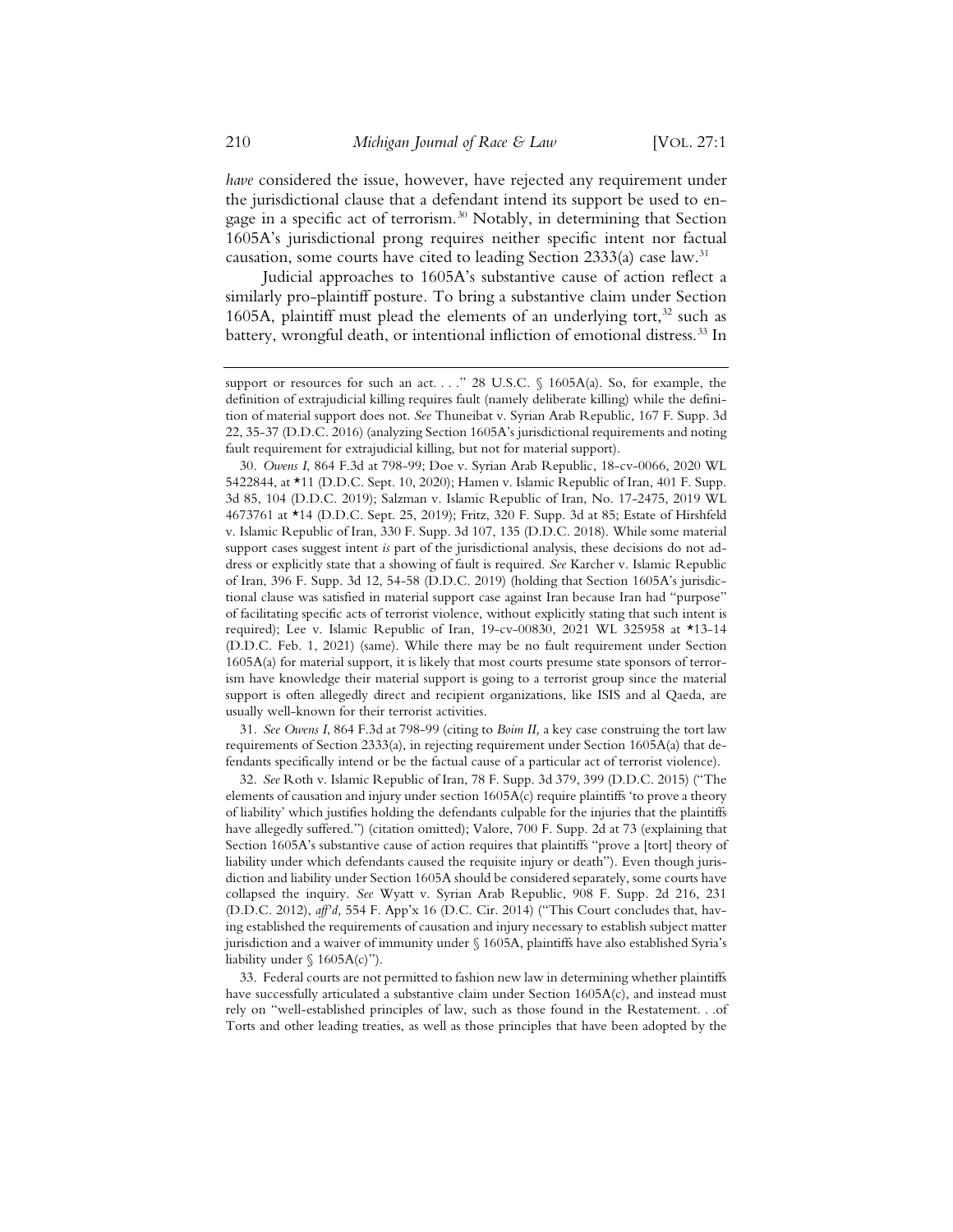*have* considered the issue, however, have rejected any requirement under the jurisdictional clause that a defendant intend its support be used to engage in a specific act of terrorism.<sup>30</sup> Notably, in determining that Section 1605A's jurisdictional prong requires neither specific intent nor factual causation, some courts have cited to leading Section 2333(a) case law.<sup>31</sup>

Judicial approaches to 1605A's substantive cause of action reflect a similarly pro-plaintiff posture. To bring a substantive claim under Section 1605A, plaintiff must plead the elements of an underlying tort, $32$  such as battery, wrongful death, or intentional infliction of emotional distress.<sup>33</sup> In

31. *See Owens I*, 864 F.3d at 798-99 (citing to *Boim II,* a key case construing the tort law requirements of Section 2333(a), in rejecting requirement under Section 1605A(a) that defendants specifically intend or be the factual cause of a particular act of terrorist violence).

32. *See* Roth v. Islamic Republic of Iran, 78 F. Supp. 3d 379, 399 (D.D.C. 2015) ("The elements of causation and injury under section 1605A(c) require plaintiffs 'to prove a theory of liability' which justifies holding the defendants culpable for the injuries that the plaintiffs have allegedly suffered.") (citation omitted); Valore, 700 F. Supp. 2d at 73 (explaining that Section 1605A's substantive cause of action requires that plaintiffs "prove a [tort] theory of liability under which defendants caused the requisite injury or death"). Even though jurisdiction and liability under Section 1605A should be considered separately, some courts have collapsed the inquiry. *See* Wyatt v. Syrian Arab Republic, 908 F. Supp. 2d 216, 231 (D.D.C. 2012), *aff'd,* 554 F. App'x 16 (D.C. Cir. 2014) ("This Court concludes that, having established the requirements of causation and injury necessary to establish subject matter jurisdiction and a waiver of immunity under § 1605A, plaintiffs have also established Syria's liability under  $\S$  1605A(c)").

33. Federal courts are not permitted to fashion new law in determining whether plaintiffs have successfully articulated a substantive claim under Section 1605A(c), and instead must rely on "well-established principles of law, such as those found in the Restatement. . .of Torts and other leading treaties, as well as those principles that have been adopted by the

support or resources for such an act. . . . " 28 U.S.C. § 1605A(a). So, for example, the definition of extrajudicial killing requires fault (namely deliberate killing) while the definition of material support does not. *See* Thuneibat v. Syrian Arab Republic, 167 F. Supp. 3d 22, 35-37 (D.D.C. 2016) (analyzing Section 1605A's jurisdictional requirements and noting fault requirement for extrajudicial killing, but not for material support).

<sup>30.</sup> *Owens I*, 864 F.3d at 798-99; Doe v. Syrian Arab Republic, 18-cv-0066, 2020 WL 5422844, at \*11 (D.D.C. Sept. 10, 2020); Hamen v. Islamic Republic of Iran, 401 F. Supp. 3d 85, 104 (D.D.C. 2019); Salzman v. Islamic Republic of Iran, No. 17-2475, 2019 WL 4673761 at \*14 (D.D.C. Sept. 25, 2019); Fritz, 320 F. Supp. 3d at 85; Estate of Hirshfeld v. Islamic Republic of Iran, 330 F. Supp. 3d 107, 135 (D.D.C. 2018). While some material support cases suggest intent *is* part of the jurisdictional analysis, these decisions do not address or explicitly state that a showing of fault is required. *See* Karcher v. Islamic Republic of Iran, 396 F. Supp. 3d 12, 54-58 (D.D.C. 2019) (holding that Section 1605A's jurisdictional clause was satisfied in material support case against Iran because Iran had "purpose" of facilitating specific acts of terrorist violence, without explicitly stating that such intent is required); Lee v. Islamic Republic of Iran, 19-cv-00830, 2021 WL 325958 at \*13-14 (D.D.C. Feb. 1, 2021) (same). While there may be no fault requirement under Section 1605A(a) for material support, it is likely that most courts presume state sponsors of terrorism have knowledge their material support is going to a terrorist group since the material support is often allegedly direct and recipient organizations, like ISIS and al Qaeda, are usually well-known for their terrorist activities.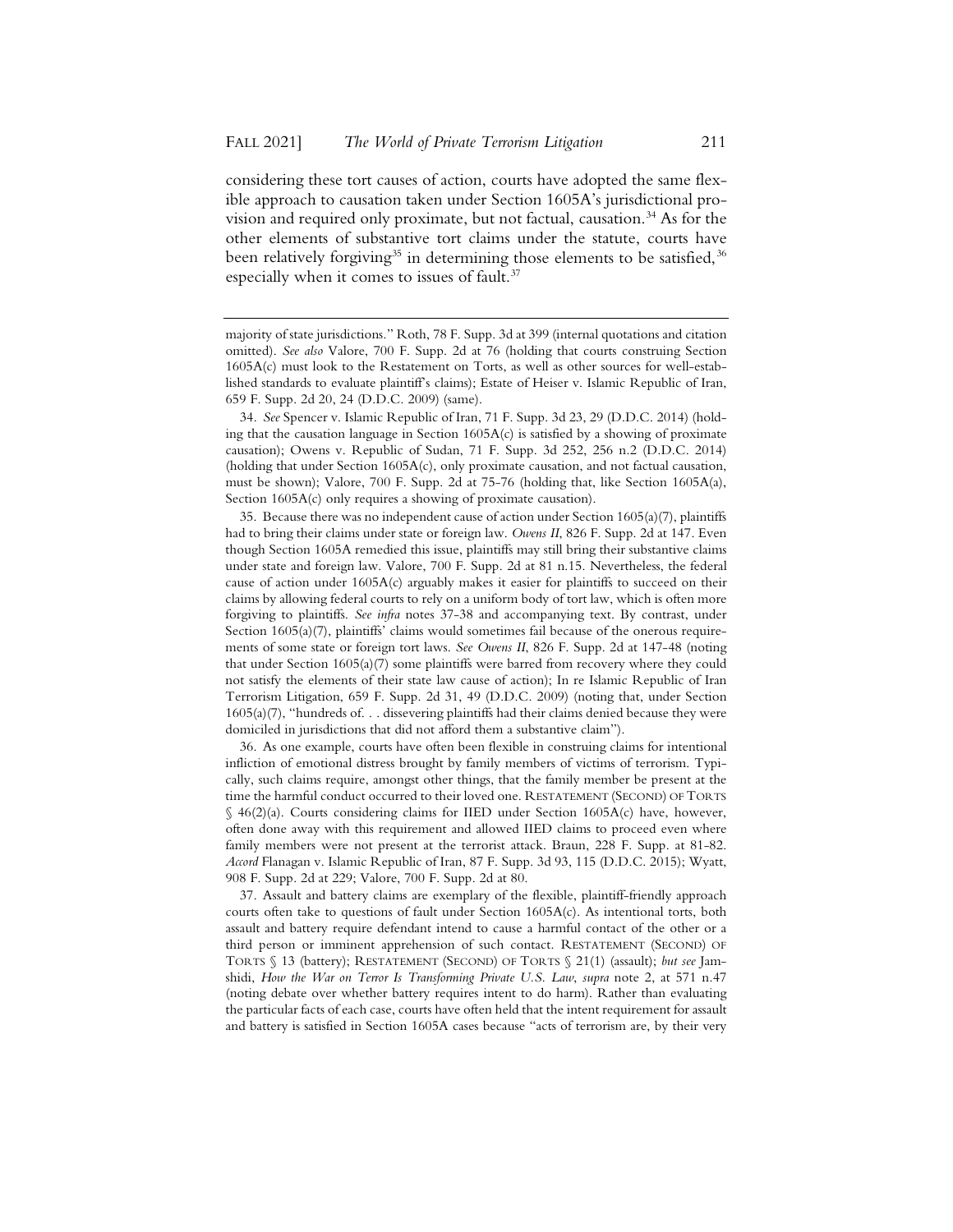considering these tort causes of action, courts have adopted the same flexible approach to causation taken under Section 1605A's jurisdictional provision and required only proximate, but not factual, causation.<sup>34</sup> As for the other elements of substantive tort claims under the statute, courts have been relatively forgiving<sup>35</sup> in determining those elements to be satisfied,<sup>36</sup> especially when it comes to issues of fault.<sup>37</sup>

34. *See* Spencer v. Islamic Republic of Iran, 71 F. Supp. 3d 23, 29 (D.D.C. 2014) (holding that the causation language in Section 1605A(c) is satisfied by a showing of proximate causation); Owens v. Republic of Sudan, 71 F. Supp. 3d 252, 256 n.2 (D.D.C. 2014) (holding that under Section 1605A(c), only proximate causation, and not factual causation, must be shown); Valore, 700 F. Supp. 2d at 75-76 (holding that, like Section 1605A(a), Section  $1605A(c)$  only requires a showing of proximate causation).

35. Because there was no independent cause of action under Section 1605(a)(7), plaintiffs had to bring their claims under state or foreign law. *Owens II*, 826 F. Supp. 2d at 147. Even though Section 1605A remedied this issue, plaintiffs may still bring their substantive claims under state and foreign law. Valore, 700 F. Supp. 2d at 81 n.15. Nevertheless, the federal cause of action under 1605A(c) arguably makes it easier for plaintiffs to succeed on their claims by allowing federal courts to rely on a uniform body of tort law, which is often more forgiving to plaintiffs. *See infra* notes 37-38 and accompanying text. By contrast, under Section 1605(a)(7), plaintiffs' claims would sometimes fail because of the onerous requirements of some state or foreign tort laws. *See Owens II*, 826 F. Supp. 2d at 147-48 (noting that under Section 1605(a)(7) some plaintiffs were barred from recovery where they could not satisfy the elements of their state law cause of action); In re Islamic Republic of Iran Terrorism Litigation, 659 F. Supp. 2d 31, 49 (D.D.C. 2009) (noting that, under Section 1605(a)(7), "hundreds of. . . dissevering plaintiffs had their claims denied because they were domiciled in jurisdictions that did not afford them a substantive claim").

36. As one example, courts have often been flexible in construing claims for intentional infliction of emotional distress brought by family members of victims of terrorism. Typically, such claims require, amongst other things, that the family member be present at the time the harmful conduct occurred to their loved one. RESTATEMENT (SECOND) OF TORTS § 46(2)(a). Courts considering claims for IIED under Section 1605A(c) have, however, often done away with this requirement and allowed IIED claims to proceed even where family members were not present at the terrorist attack. Braun, 228 F. Supp. at 81-82. *Accord* Flanagan v. Islamic Republic of Iran, 87 F. Supp. 3d 93, 115 (D.D.C. 2015); Wyatt, 908 F. Supp. 2d at 229; Valore, 700 F. Supp. 2d at 80.

37. Assault and battery claims are exemplary of the flexible, plaintiff-friendly approach courts often take to questions of fault under Section 1605A(c). As intentional torts, both assault and battery require defendant intend to cause a harmful contact of the other or a third person or imminent apprehension of such contact. RESTATEMENT (SECOND) OF TORTS § 13 (battery); RESTATEMENT (SECOND) OF TORTS § 21(1) (assault); *but see* Jamshidi, *How the War on Terror Is Transforming Private U.S. Law*, *supra* note 2, at 571 n.47 (noting debate over whether battery requires intent to do harm). Rather than evaluating the particular facts of each case, courts have often held that the intent requirement for assault and battery is satisfied in Section 1605A cases because "acts of terrorism are, by their very

majority of state jurisdictions." Roth, 78 F. Supp. 3d at 399 (internal quotations and citation omitted). *See also* Valore, 700 F. Supp. 2d at 76 (holding that courts construing Section 1605A(c) must look to the Restatement on Torts, as well as other sources for well-established standards to evaluate plaintiff's claims); Estate of Heiser v. Islamic Republic of Iran, 659 F. Supp. 2d 20, 24 (D.D.C. 2009) (same).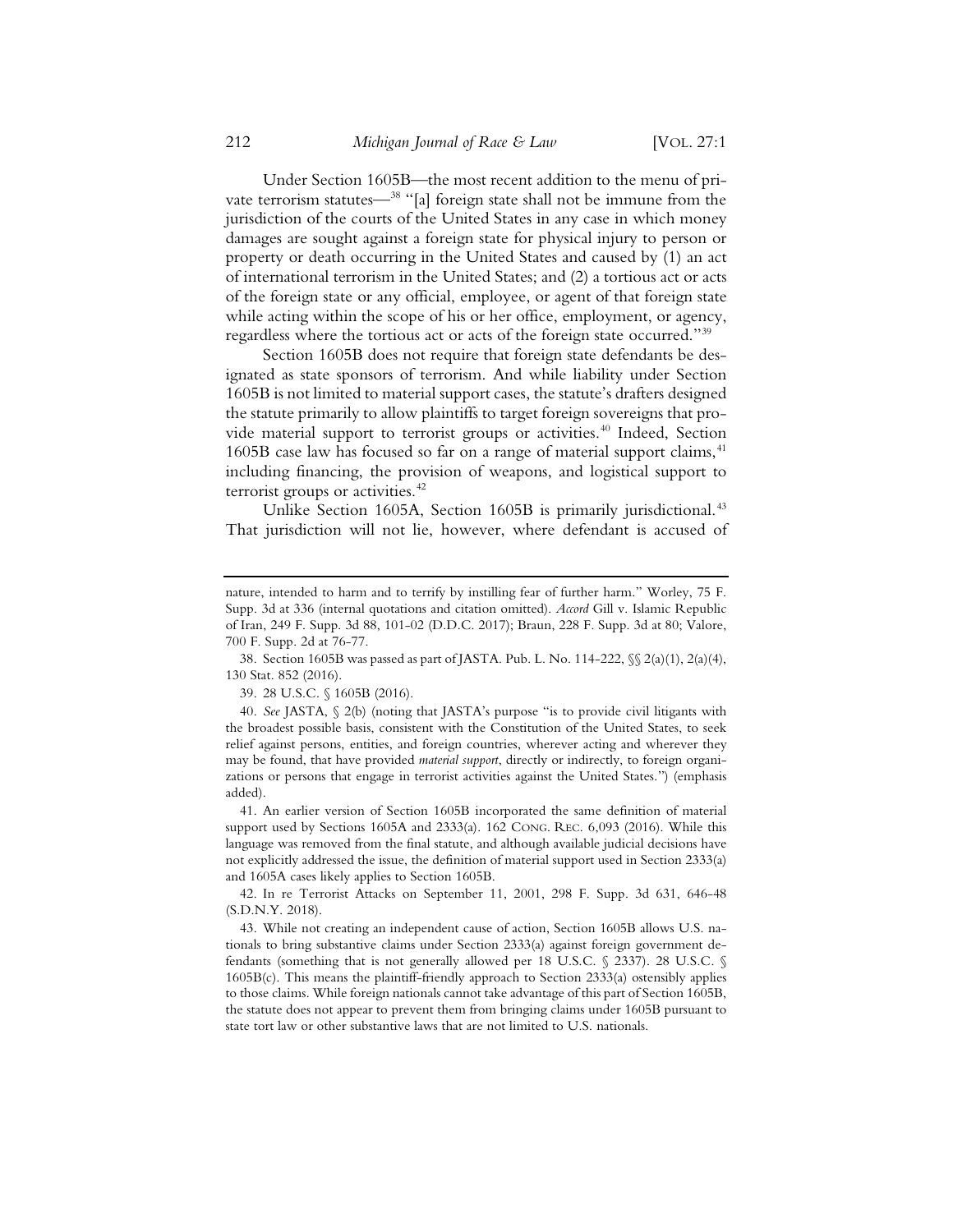Under Section 1605B—the most recent addition to the menu of private terrorism statutes—<sup>38</sup> "[a] foreign state shall not be immune from the jurisdiction of the courts of the United States in any case in which money damages are sought against a foreign state for physical injury to person or property or death occurring in the United States and caused by (1) an act of international terrorism in the United States; and (2) a tortious act or acts of the foreign state or any official, employee, or agent of that foreign state while acting within the scope of his or her office, employment, or agency, regardless where the tortious act or acts of the foreign state occurred."<sup>39</sup>

Section 1605B does not require that foreign state defendants be designated as state sponsors of terrorism. And while liability under Section 1605B is not limited to material support cases, the statute's drafters designed the statute primarily to allow plaintiffs to target foreign sovereigns that provide material support to terrorist groups or activities.<sup>40</sup> Indeed, Section 1605B case law has focused so far on a range of material support claims,<sup>41</sup> including financing, the provision of weapons, and logistical support to terrorist groups or activities.<sup>42</sup>

Unlike Section 1605A, Section 1605B is primarily jurisdictional.<sup>43</sup> That jurisdiction will not lie, however, where defendant is accused of

39. 28 U.S.C. § 1605B (2016).

40. *See* JASTA, § 2(b) (noting that JASTA's purpose "is to provide civil litigants with the broadest possible basis, consistent with the Constitution of the United States, to seek relief against persons, entities, and foreign countries, wherever acting and wherever they may be found, that have provided *material support*, directly or indirectly, to foreign organizations or persons that engage in terrorist activities against the United States.") (emphasis added).

41. An earlier version of Section 1605B incorporated the same definition of material support used by Sections 1605A and 2333(a). 162 CONG. REC. 6,093 (2016). While this language was removed from the final statute, and although available judicial decisions have not explicitly addressed the issue, the definition of material support used in Section 2333(a) and 1605A cases likely applies to Section 1605B.

42. In re Terrorist Attacks on September 11, 2001, 298 F. Supp. 3d 631, 646-48 (S.D.N.Y. 2018).

43. While not creating an independent cause of action, Section 1605B allows U.S. nationals to bring substantive claims under Section 2333(a) against foreign government defendants (something that is not generally allowed per 18 U.S.C. § 2337). 28 U.S.C. § 1605B(c). This means the plaintiff-friendly approach to Section 2333(a) ostensibly applies to those claims. While foreign nationals cannot take advantage of this part of Section 1605B, the statute does not appear to prevent them from bringing claims under 1605B pursuant to state tort law or other substantive laws that are not limited to U.S. nationals.

nature, intended to harm and to terrify by instilling fear of further harm." Worley, 75 F. Supp. 3d at 336 (internal quotations and citation omitted). *Accord* Gill v. Islamic Republic of Iran, 249 F. Supp. 3d 88, 101-02 (D.D.C. 2017); Braun, 228 F. Supp. 3d at 80; Valore, 700 F. Supp. 2d at 76-77.

<sup>38.</sup> Section 1605B was passed as part of JASTA. Pub. L. No. 114-222, §§ 2(a)(1), 2(a)(4), 130 Stat. 852 (2016).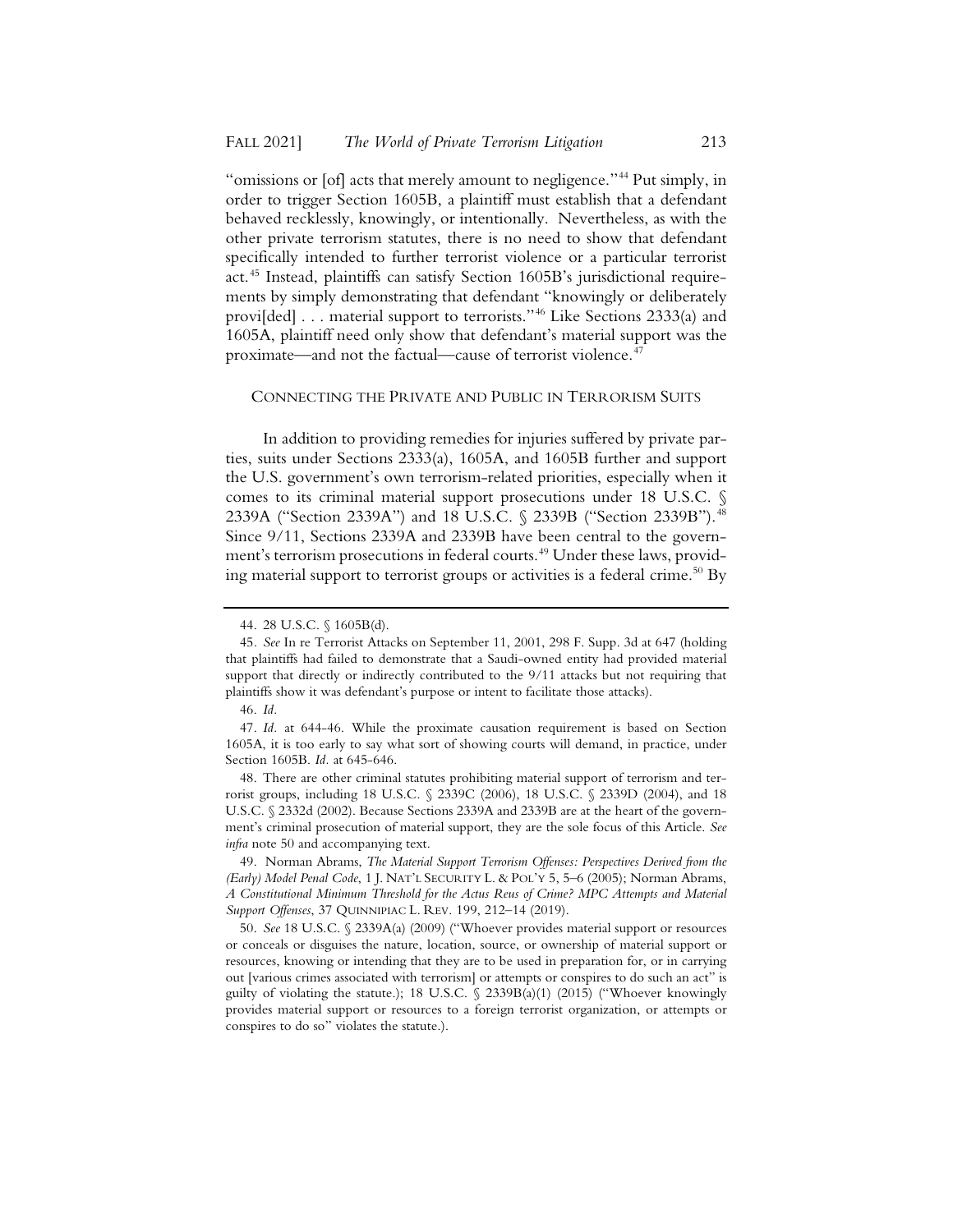"omissions or [of] acts that merely amount to negligence."<sup>44</sup> Put simply, in order to trigger Section 1605B, a plaintiff must establish that a defendant behaved recklessly, knowingly, or intentionally. Nevertheless, as with the other private terrorism statutes, there is no need to show that defendant specifically intended to further terrorist violence or a particular terrorist act.<sup>45</sup> Instead, plaintiffs can satisfy Section 1605B's jurisdictional requirements by simply demonstrating that defendant "knowingly or deliberately provi[ded] . . . material support to terrorists."46 Like Sections 2333(a) and 1605A, plaintiff need only show that defendant's material support was the proximate—and not the factual—cause of terrorist violence.<sup>47</sup>

#### CONNECTING THE PRIVATE AND PUBLIC IN TERRORISM SUITS

In addition to providing remedies for injuries suffered by private parties, suits under Sections 2333(a), 1605A, and 1605B further and support the U.S. government's own terrorism-related priorities, especially when it comes to its criminal material support prosecutions under 18 U.S.C. § 2339A ("Section 2339A") and 18 U.S.C. § 2339B ("Section 2339B").<sup>48</sup> Since 9/11, Sections 2339A and 2339B have been central to the government's terrorism prosecutions in federal courts.<sup>49</sup> Under these laws, providing material support to terrorist groups or activities is a federal crime.<sup>50</sup> By

48. There are other criminal statutes prohibiting material support of terrorism and terrorist groups, including 18 U.S.C. § 2339C (2006), 18 U.S.C. § 2339D (2004), and 18 U.S.C. § 2332d (2002). Because Sections 2339A and 2339B are at the heart of the government's criminal prosecution of material support, they are the sole focus of this Article. *See infra* note 50 and accompanying text.

49. Norman Abrams, *The Material Support Terrorism Offenses: Perspectives Derived from the (Early) Model Penal Code*, 1 J. NAT'L SECURITY L. & POL'Y 5, 5–6 (2005); Norman Abrams, *A Constitutional Minimum Threshold for the Actus Reus of Crime? MPC Attempts and Material Support Offenses*, 37 QUINNIPIAC L. REV. 199, 212–14 (2019).

50. *See* 18 U.S.C. § 2339A(a) (2009) ("Whoever provides material support or resources or conceals or disguises the nature, location, source, or ownership of material support or resources, knowing or intending that they are to be used in preparation for, or in carrying out [various crimes associated with terrorism] or attempts or conspires to do such an act" is guilty of violating the statute.); 18 U.S.C. § 2339B(a)(1) (2015) ("Whoever knowingly provides material support or resources to a foreign terrorist organization, or attempts or conspires to do so" violates the statute.).

<sup>44. 28</sup> U.S.C. § 1605B(d).

<sup>45</sup>*. See* In re Terrorist Attacks on September 11, 2001, 298 F. Supp. 3d at 647 (holding that plaintiffs had failed to demonstrate that a Saudi-owned entity had provided material support that directly or indirectly contributed to the 9/11 attacks but not requiring that plaintiffs show it was defendant's purpose or intent to facilitate those attacks).

<sup>46.</sup> *Id.*

<sup>47.</sup> *Id.* at 644-46. While the proximate causation requirement is based on Section 1605A, it is too early to say what sort of showing courts will demand, in practice, under Section 1605B. *Id.* at 645-646.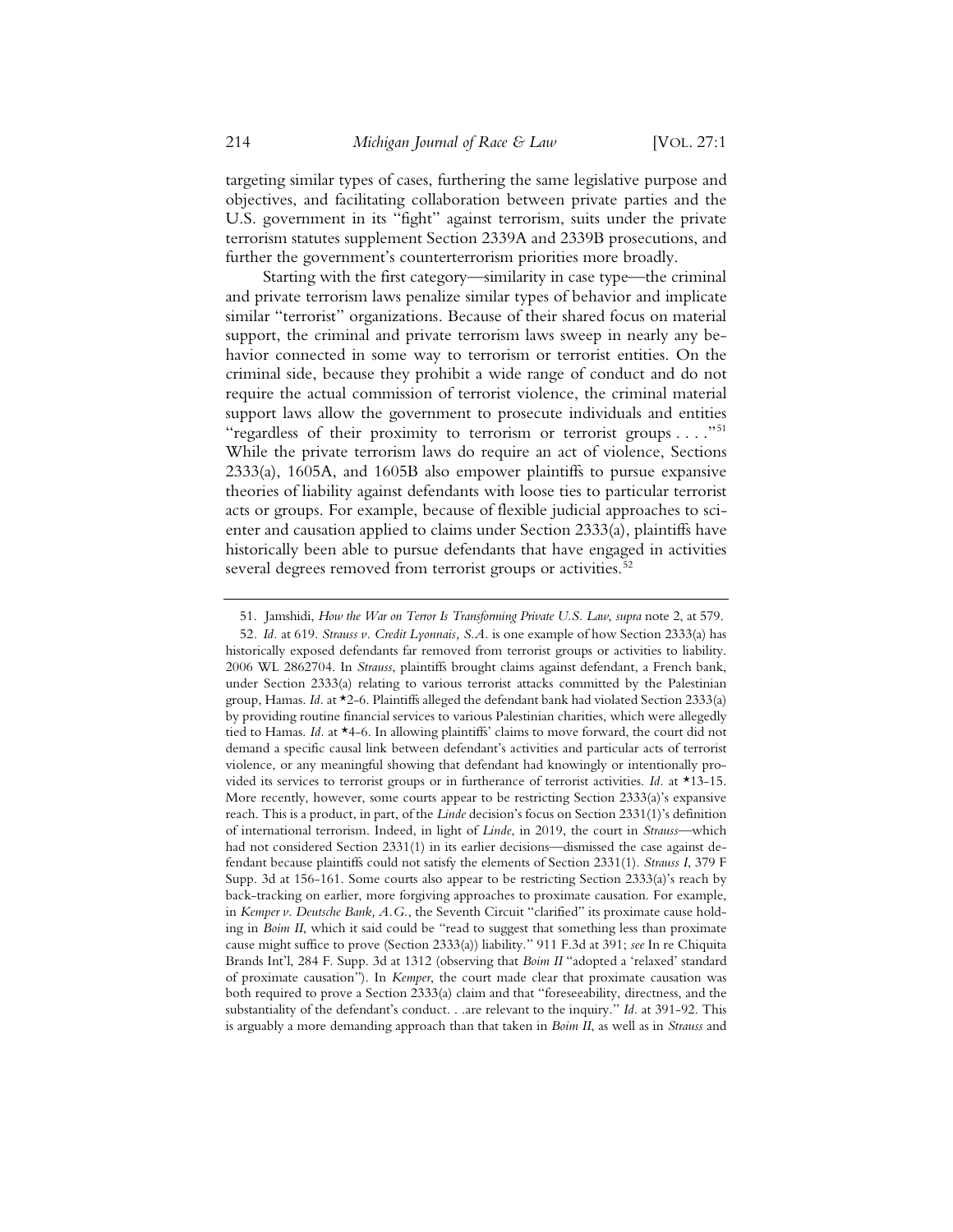targeting similar types of cases, furthering the same legislative purpose and objectives, and facilitating collaboration between private parties and the U.S. government in its "fight" against terrorism, suits under the private terrorism statutes supplement Section 2339A and 2339B prosecutions, and further the government's counterterrorism priorities more broadly.

Starting with the first category—similarity in case type—the criminal and private terrorism laws penalize similar types of behavior and implicate similar "terrorist" organizations. Because of their shared focus on material support, the criminal and private terrorism laws sweep in nearly any behavior connected in some way to terrorism or terrorist entities. On the criminal side, because they prohibit a wide range of conduct and do not require the actual commission of terrorist violence, the criminal material support laws allow the government to prosecute individuals and entities "regardless of their proximity to terrorism or terrorist groups . . . ."51 While the private terrorism laws do require an act of violence, Sections 2333(a), 1605A, and 1605B also empower plaintiffs to pursue expansive theories of liability against defendants with loose ties to particular terrorist acts or groups. For example, because of flexible judicial approaches to scienter and causation applied to claims under Section 2333(a), plaintiffs have historically been able to pursue defendants that have engaged in activities several degrees removed from terrorist groups or activities.<sup>52</sup>

<sup>51.</sup> Jamshidi, *How the War on Terror Is Transforming Private U.S. Law*, *supra* note 2, at 579.

<sup>52</sup>*. Id.* at 619. *Strauss v. Credit Lyonnais, S.A.* is one example of how Section 2333(a) has historically exposed defendants far removed from terrorist groups or activities to liability. 2006 WL 2862704. In *Strauss*, plaintiffs brought claims against defendant, a French bank, under Section 2333(a) relating to various terrorist attacks committed by the Palestinian group, Hamas. *Id.* at \*2-6. Plaintiffs alleged the defendant bank had violated Section 2333(a) by providing routine financial services to various Palestinian charities, which were allegedly tied to Hamas. *Id.* at \*4-6. In allowing plaintiffs' claims to move forward, the court did not demand a specific causal link between defendant's activities and particular acts of terrorist violence, or any meaningful showing that defendant had knowingly or intentionally provided its services to terrorist groups or in furtherance of terrorist activities. *Id.* at \*13-15. More recently, however, some courts appear to be restricting Section 2333(a)'s expansive reach. This is a product, in part, of the *Linde* decision's focus on Section 2331(1)'s definition of international terrorism. Indeed, in light of *Linde*, in 2019, the court in *Strauss*—which had not considered Section 2331(1) in its earlier decisions—dismissed the case against defendant because plaintiffs could not satisfy the elements of Section 2331(1). *Strauss I*, 379 F Supp. 3d at 156-161. Some courts also appear to be restricting Section 2333(a)'s reach by back-tracking on earlier, more forgiving approaches to proximate causation. For example, in *Kemper v. Deutsche Bank, A.G.*, the Seventh Circuit "clarified" its proximate cause holding in *Boim II*, which it said could be "read to suggest that something less than proximate cause might suffice to prove (Section 2333(a)) liability." 911 F.3d at 391; *see* In re Chiquita Brands Int'l, 284 F. Supp. 3d at 1312 (observing that *Boim II* "adopted a 'relaxed' standard of proximate causation"). In *Kemper*, the court made clear that proximate causation was both required to prove a Section 2333(a) claim and that "foreseeability, directness, and the substantiality of the defendant's conduct. . .are relevant to the inquiry." *Id.* at 391-92. This is arguably a more demanding approach than that taken in *Boim II*, as well as in *Strauss* and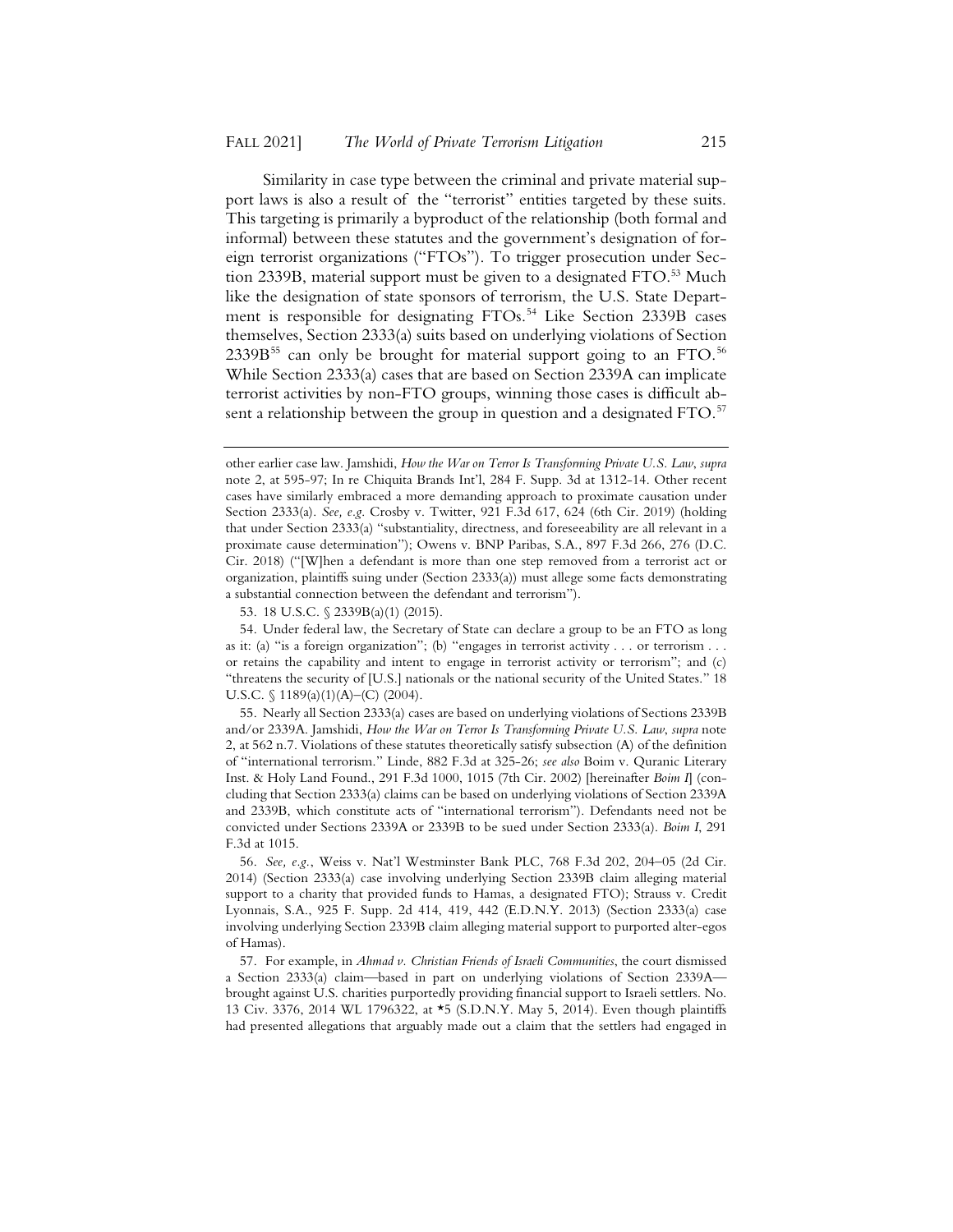Similarity in case type between the criminal and private material support laws is also a result of the "terrorist" entities targeted by these suits. This targeting is primarily a byproduct of the relationship (both formal and informal) between these statutes and the government's designation of foreign terrorist organizations ("FTOs"). To trigger prosecution under Section 2339B, material support must be given to a designated FTO.<sup>53</sup> Much like the designation of state sponsors of terrorism, the U.S. State Department is responsible for designating FTOs.<sup>54</sup> Like Section 2339B cases themselves, Section 2333(a) suits based on underlying violations of Section 2339B<sup>55</sup> can only be brought for material support going to an FTO.<sup>56</sup> While Section 2333(a) cases that are based on Section 2339A can implicate terrorist activities by non-FTO groups, winning those cases is difficult absent a relationship between the group in question and a designated FTO.<sup>57</sup>

53. 18 U.S.C. § 2339B(a)(1) (2015).

other earlier case law. Jamshidi, *How the War on Terror Is Transforming Private U.S. Law*, *supra* note 2, at 595-97; In re Chiquita Brands Int'l, 284 F. Supp. 3d at 1312-14. Other recent cases have similarly embraced a more demanding approach to proximate causation under Section 2333(a). *See, e.g*. Crosby v. Twitter, 921 F.3d 617, 624 (6th Cir. 2019) (holding that under Section 2333(a) "substantiality, directness, and foreseeability are all relevant in a proximate cause determination"); Owens v. BNP Paribas, S.A., 897 F.3d 266, 276 (D.C. Cir. 2018) ("[W]hen a defendant is more than one step removed from a terrorist act or organization, plaintiffs suing under (Section 2333(a)) must allege some facts demonstrating a substantial connection between the defendant and terrorism").

<sup>54.</sup> Under federal law, the Secretary of State can declare a group to be an FTO as long as it: (a) "is a foreign organization"; (b) "engages in terrorist activity . . . or terrorism . . . or retains the capability and intent to engage in terrorist activity or terrorism"; and (c) "threatens the security of [U.S.] nationals or the national security of the United States." 18 U.S.C.  $\{(1189(a)(1)(A) - (C) (2004)\}.$ 

<sup>55.</sup> Nearly all Section 2333(a) cases are based on underlying violations of Sections 2339B and/or 2339A. Jamshidi, *How the War on Terror Is Transforming Private U.S. Law*, *supra* note 2, at 562 n.7. Violations of these statutes theoretically satisfy subsection (A) of the definition of "international terrorism." Linde, 882 F.3d at 325-26; *see also* Boim v. Quranic Literary Inst. & Holy Land Found., 291 F.3d 1000, 1015 (7th Cir. 2002) [hereinafter *Boim I*] (concluding that Section 2333(a) claims can be based on underlying violations of Section 2339A and 2339B, which constitute acts of "international terrorism"). Defendants need not be convicted under Sections 2339A or 2339B to be sued under Section 2333(a). *Boim I*, 291 F.3d at 1015.

<sup>56.</sup> *See, e.g.*, Weiss v. Nat'l Westminster Bank PLC, 768 F.3d 202, 204–05 (2d Cir. 2014) (Section 2333(a) case involving underlying Section 2339B claim alleging material support to a charity that provided funds to Hamas, a designated FTO); Strauss v. Credit Lyonnais, S.A., 925 F. Supp. 2d 414, 419, 442 (E.D.N.Y. 2013) (Section 2333(a) case involving underlying Section 2339B claim alleging material support to purported alter-egos of Hamas).

<sup>57.</sup> For example, in *Ahmad v. Christian Friends of Israeli Communities*, the court dismissed a Section 2333(a) claim—based in part on underlying violations of Section 2339A brought against U.S. charities purportedly providing financial support to Israeli settlers. No. 13 Civ. 3376, 2014 WL 1796322, at \*5 (S.D.N.Y. May 5, 2014). Even though plaintiffs had presented allegations that arguably made out a claim that the settlers had engaged in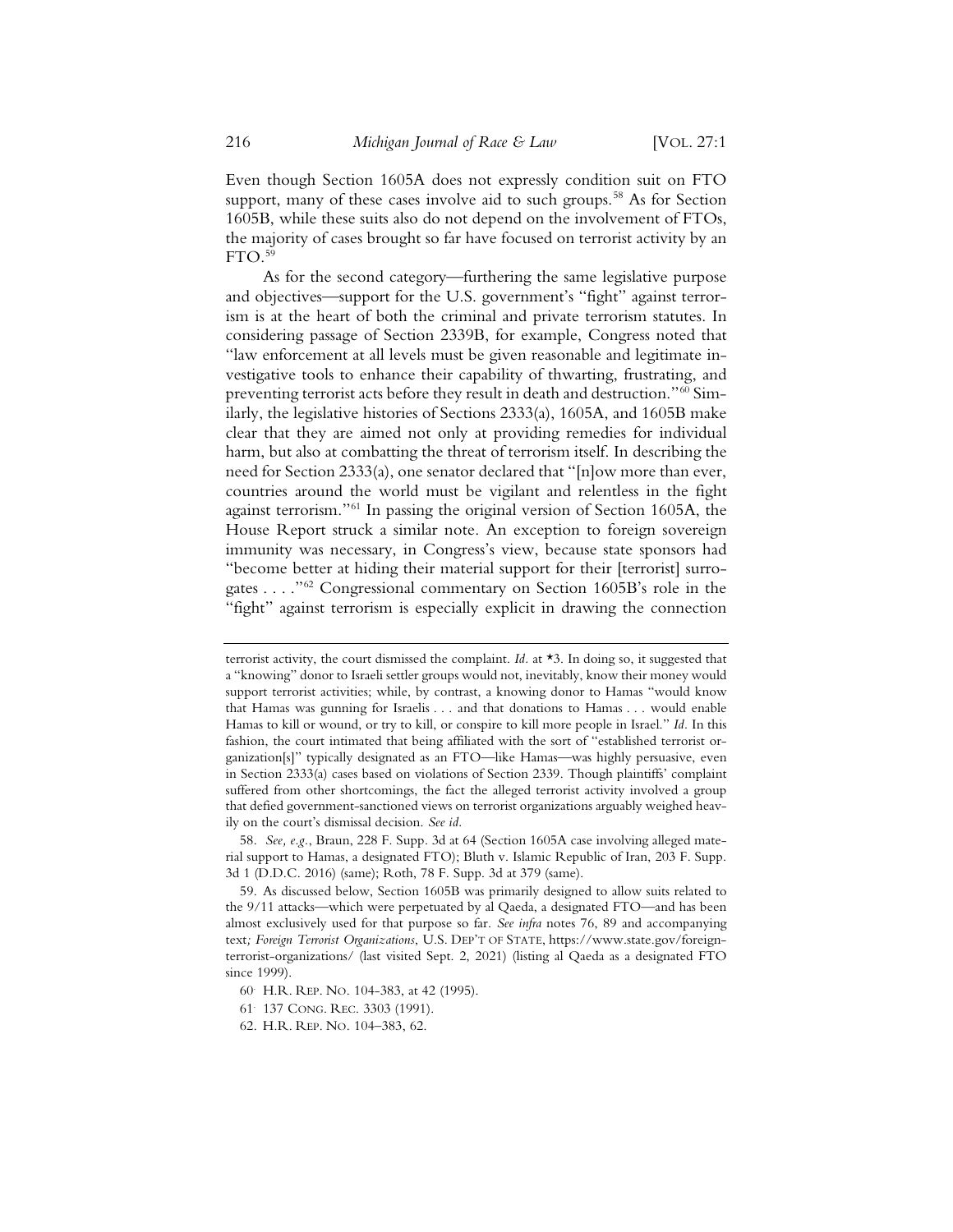Even though Section 1605A does not expressly condition suit on FTO support, many of these cases involve aid to such groups.<sup>58</sup> As for Section 1605B, while these suits also do not depend on the involvement of FTOs, the majority of cases brought so far have focused on terrorist activity by an  $FTO.<sup>59</sup>$ 

As for the second category—furthering the same legislative purpose and objectives—support for the U.S. government's "fight" against terrorism is at the heart of both the criminal and private terrorism statutes. In considering passage of Section 2339B, for example, Congress noted that "law enforcement at all levels must be given reasonable and legitimate investigative tools to enhance their capability of thwarting, frustrating, and preventing terrorist acts before they result in death and destruction."60 Similarly, the legislative histories of Sections 2333(a), 1605A, and 1605B make clear that they are aimed not only at providing remedies for individual harm, but also at combatting the threat of terrorism itself. In describing the need for Section 2333(a), one senator declared that "[n]ow more than ever, countries around the world must be vigilant and relentless in the fight against terrorism."<sup>61</sup> In passing the original version of Section 1605A, the House Report struck a similar note. An exception to foreign sovereign immunity was necessary, in Congress's view, because state sponsors had "become better at hiding their material support for their [terrorist] surrogates . . . ."62 Congressional commentary on Section 1605B's role in the "fight" against terrorism is especially explicit in drawing the connection

terrorist activity, the court dismissed the complaint. *Id.* at  $\star$ 3. In doing so, it suggested that a "knowing" donor to Israeli settler groups would not, inevitably, know their money would support terrorist activities; while, by contrast, a knowing donor to Hamas "would know that Hamas was gunning for Israelis . . . and that donations to Hamas . . . would enable Hamas to kill or wound, or try to kill, or conspire to kill more people in Israel." *Id.* In this fashion, the court intimated that being affiliated with the sort of "established terrorist organization[s]" typically designated as an FTO—like Hamas—was highly persuasive, even in Section 2333(a) cases based on violations of Section 2339. Though plaintiffs' complaint suffered from other shortcomings, the fact the alleged terrorist activity involved a group that defied government-sanctioned views on terrorist organizations arguably weighed heavily on the court's dismissal decision. *See id.*

<sup>58.</sup> *See, e.g.*, Braun, 228 F. Supp. 3d at 64 (Section 1605A case involving alleged material support to Hamas, a designated FTO); Bluth v. Islamic Republic of Iran, 203 F. Supp. 3d 1 (D.D.C. 2016) (same); Roth, 78 F. Supp. 3d at 379 (same).

<sup>59.</sup> As discussed below, Section 1605B was primarily designed to allow suits related to the 9/11 attacks—which were perpetuated by al Qaeda, a designated FTO—and has been almost exclusively used for that purpose so far. *See infra* notes 76, 89 and accompanying text*; Foreign Terrorist Organizations*, U.S. DEP'T OF STATE, https://www.state.gov/foreignterrorist-organizations/ (last visited Sept. 2, 2021) (listing al Qaeda as a designated FTO since 1999).

<sup>60.</sup> H.R. REP. NO. 104-383, at 42 (1995).

<sup>61.</sup> 137 CONG. REC. 3303 (1991).

<sup>62.</sup> H.R. REP. NO. 104–383, 62.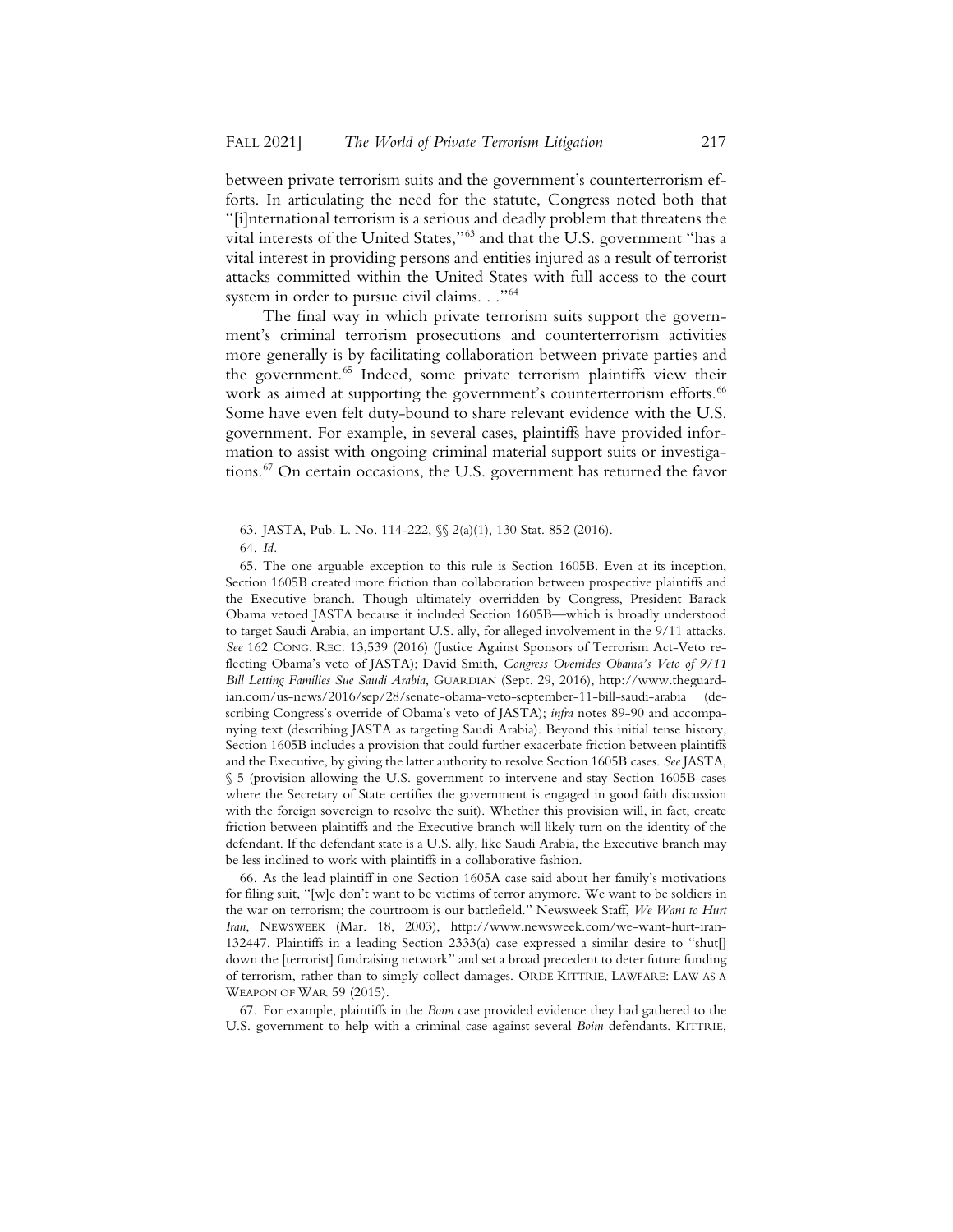between private terrorism suits and the government's counterterrorism efforts. In articulating the need for the statute, Congress noted both that "[i]nternational terrorism is a serious and deadly problem that threatens the vital interests of the United States,"63 and that the U.S. government "has a vital interest in providing persons and entities injured as a result of terrorist attacks committed within the United States with full access to the court system in order to pursue civil claims. . ."<sup>64</sup>

The final way in which private terrorism suits support the government's criminal terrorism prosecutions and counterterrorism activities more generally is by facilitating collaboration between private parties and the government.<sup>65</sup> Indeed, some private terrorism plaintiffs view their work as aimed at supporting the government's counterterrorism efforts.<sup>66</sup> Some have even felt duty-bound to share relevant evidence with the U.S. government. For example, in several cases, plaintiffs have provided information to assist with ongoing criminal material support suits or investigations.67 On certain occasions, the U.S. government has returned the favor

<sup>63.</sup> JASTA, Pub. L. No. 114-222, §§ 2(a)(1), 130 Stat. 852 (2016).

<sup>64.</sup> *Id.*

<sup>65.</sup> The one arguable exception to this rule is Section 1605B. Even at its inception, Section 1605B created more friction than collaboration between prospective plaintiffs and the Executive branch. Though ultimately overridden by Congress, President Barack Obama vetoed JASTA because it included Section 1605B—which is broadly understood to target Saudi Arabia, an important U.S. ally, for alleged involvement in the 9/11 attacks. *See* 162 CONG. REC. 13,539 (2016) (Justice Against Sponsors of Terrorism Act-Veto reflecting Obama's veto of JASTA); David Smith, *Congress Overrides Obama's Veto of 9/11 Bill Letting Families Sue Saudi Arabia*, GUARDIAN (Sept. 29, 2016), http://www.theguardian.com/us-news/2016/sep/28/senate-obama-veto-september-11-bill-saudi-arabia (describing Congress's override of Obama's veto of JASTA); *infra* notes 89-90 and accompanying text (describing JASTA as targeting Saudi Arabia). Beyond this initial tense history, Section 1605B includes a provision that could further exacerbate friction between plaintiffs and the Executive, by giving the latter authority to resolve Section 1605B cases. *See* JASTA, § 5 (provision allowing the U.S. government to intervene and stay Section 1605B cases where the Secretary of State certifies the government is engaged in good faith discussion with the foreign sovereign to resolve the suit). Whether this provision will, in fact, create friction between plaintiffs and the Executive branch will likely turn on the identity of the defendant. If the defendant state is a U.S. ally, like Saudi Arabia, the Executive branch may be less inclined to work with plaintiffs in a collaborative fashion.

<sup>66.</sup> As the lead plaintiff in one Section 1605A case said about her family's motivations for filing suit, "[w]e don't want to be victims of terror anymore. We want to be soldiers in the war on terrorism; the courtroom is our battlefield." Newsweek Staff, *We Want to Hurt Iran*, NEWSWEEK (Mar. 18, 2003), http://www.newsweek.com/we-want-hurt-iran-132447. Plaintiffs in a leading Section 2333(a) case expressed a similar desire to "shut[] down the [terrorist] fundraising network" and set a broad precedent to deter future funding of terrorism, rather than to simply collect damages. ORDE KITTRIE, LAWFARE: LAW AS A WEAPON OF WAR 59 (2015).

<sup>67.</sup> For example, plaintiffs in the *Boim* case provided evidence they had gathered to the U.S. government to help with a criminal case against several *Boim* defendants. KITTRIE,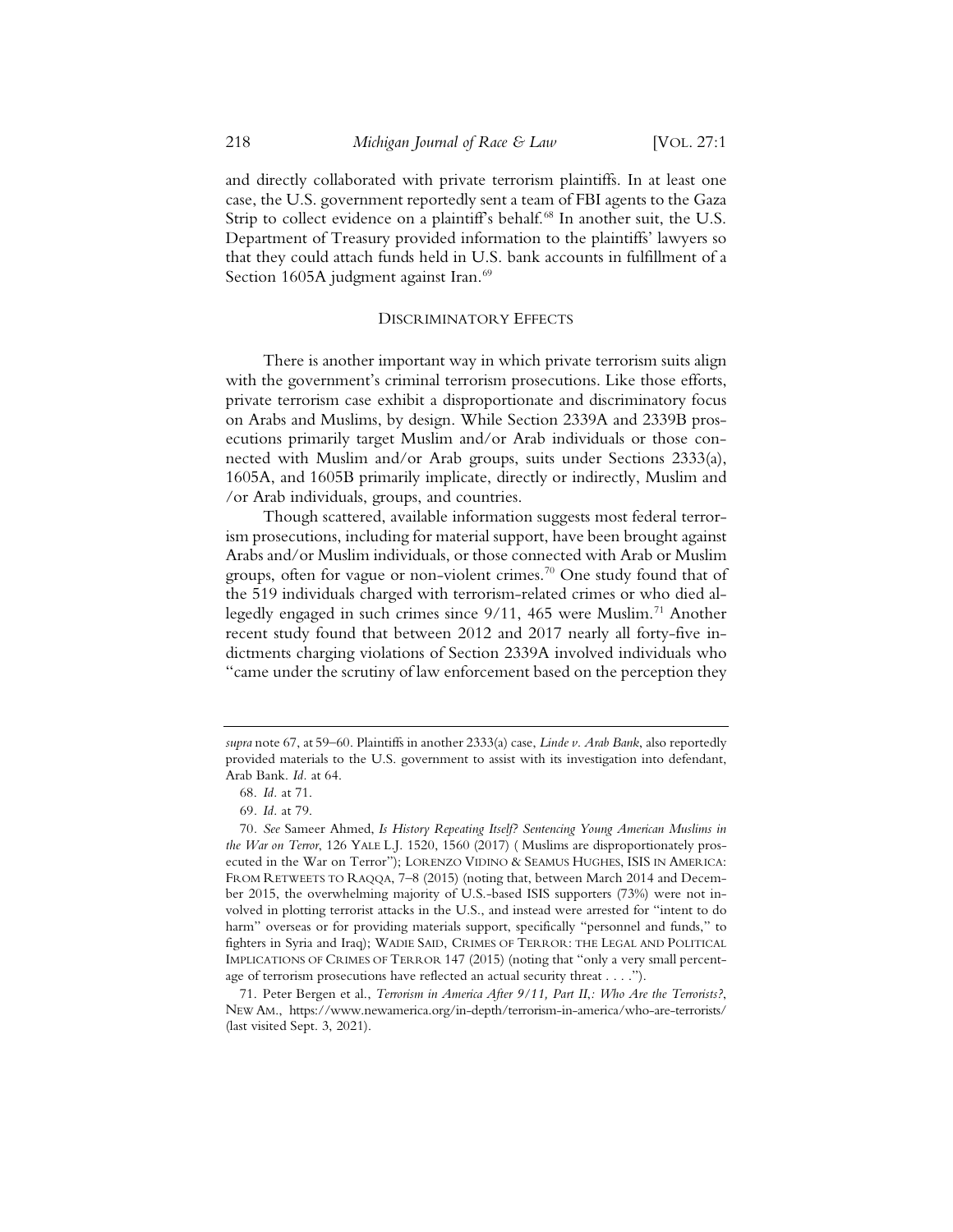and directly collaborated with private terrorism plaintiffs. In at least one case, the U.S. government reportedly sent a team of FBI agents to the Gaza Strip to collect evidence on a plaintiff's behalf.<sup>68</sup> In another suit, the U.S. Department of Treasury provided information to the plaintiffs' lawyers so that they could attach funds held in U.S. bank accounts in fulfillment of a Section 1605A judgment against Iran.<sup>69</sup>

#### DISCRIMINATORY EFFECTS

There is another important way in which private terrorism suits align with the government's criminal terrorism prosecutions. Like those efforts, private terrorism case exhibit a disproportionate and discriminatory focus on Arabs and Muslims, by design. While Section 2339A and 2339B prosecutions primarily target Muslim and/or Arab individuals or those connected with Muslim and/or Arab groups, suits under Sections 2333(a), 1605A, and 1605B primarily implicate, directly or indirectly, Muslim and /or Arab individuals, groups, and countries.

Though scattered, available information suggests most federal terrorism prosecutions, including for material support, have been brought against Arabs and/or Muslim individuals, or those connected with Arab or Muslim groups, often for vague or non-violent crimes.<sup>70</sup> One study found that of the 519 individuals charged with terrorism-related crimes or who died allegedly engaged in such crimes since 9/11, 465 were Muslim.<sup>71</sup> Another recent study found that between 2012 and 2017 nearly all forty-five indictments charging violations of Section 2339A involved individuals who "came under the scrutiny of law enforcement based on the perception they

*supra* note 67, at 59–60. Plaintiffs in another 2333(a) case, *Linde v. Arab Bank*, also reportedly provided materials to the U.S. government to assist with its investigation into defendant, Arab Bank. *Id.* at 64.

<sup>68.</sup> *Id.* at 71.

<sup>69</sup>*. Id.* at 79.

<sup>70</sup>*. See* Sameer Ahmed, *Is History Repeating Itself? Sentencing Young American Muslims in the War on Terror*, 126 YALE L.J. 1520, 1560 (2017) ( Muslims are disproportionately prosecuted in the War on Terror"); LORENZO VIDINO & SEAMUS HUGHES, ISIS IN AMERICA: FROM RETWEETS TO RAQQA, 7–8 (2015) (noting that, between March 2014 and December 2015, the overwhelming majority of U.S.-based ISIS supporters (73%) were not involved in plotting terrorist attacks in the U.S., and instead were arrested for "intent to do harm" overseas or for providing materials support, specifically "personnel and funds," to fighters in Syria and Iraq); WADIE SAID, CRIMES OF TERROR: THE LEGAL AND POLITICAL IMPLICATIONS OF CRIMES OF TERROR 147 (2015) (noting that "only a very small percentage of terrorism prosecutions have reflected an actual security threat . . . .").

<sup>71.</sup> Peter Bergen et al., *Terrorism in America After 9/11, Part II*,*: Who Are the Terrorists?*, NEW AM., https://www.newamerica.org/in-depth/terrorism-in-america/who-are-terrorists/ (last visited Sept. 3, 2021).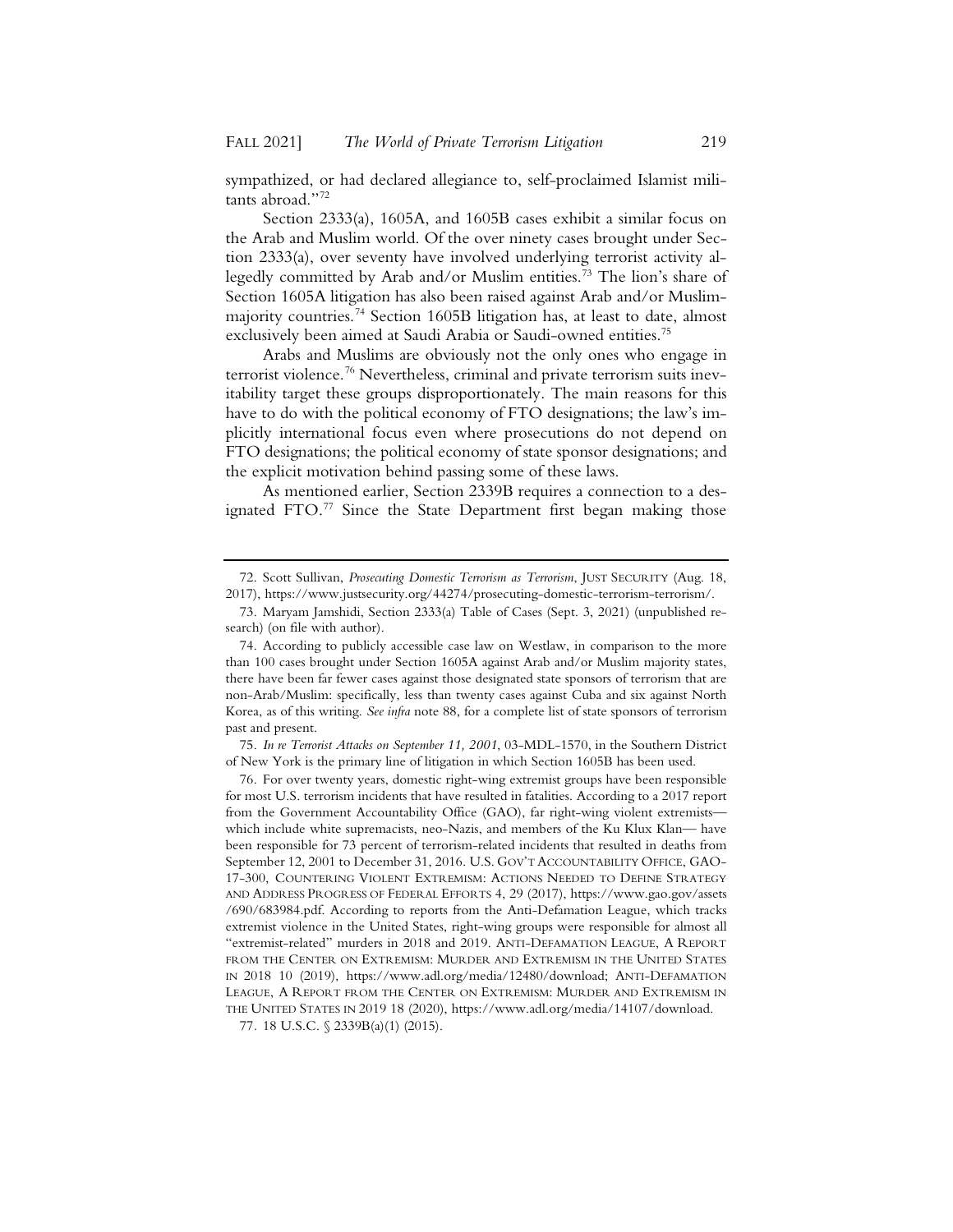sympathized, or had declared allegiance to, self-proclaimed Islamist militants abroad."72

Section 2333(a), 1605A, and 1605B cases exhibit a similar focus on the Arab and Muslim world. Of the over ninety cases brought under Section 2333(a), over seventy have involved underlying terrorist activity allegedly committed by Arab and/or Muslim entities.73 The lion's share of Section 1605A litigation has also been raised against Arab and/or Muslimmajority countries.<sup>74</sup> Section 1605B litigation has, at least to date, almost exclusively been aimed at Saudi Arabia or Saudi-owned entities.<sup>75</sup>

Arabs and Muslims are obviously not the only ones who engage in terrorist violence.<sup>76</sup> Nevertheless, criminal and private terrorism suits inevitability target these groups disproportionately. The main reasons for this have to do with the political economy of FTO designations; the law's implicitly international focus even where prosecutions do not depend on FTO designations; the political economy of state sponsor designations; and the explicit motivation behind passing some of these laws.

As mentioned earlier, Section 2339B requires a connection to a designated FTO.<sup>77</sup> Since the State Department first began making those

75. *In re Terrorist Attacks on September 11, 2001*, 03-MDL-1570, in the Southern District of New York is the primary line of litigation in which Section 1605B has been used.

<sup>72.</sup> Scott Sullivan, *Prosecuting Domestic Terrorism as Terrorism*, JUST SECURITY (Aug. 18, 2017), https://www.justsecurity.org/44274/prosecuting-domestic-terrorism-terrorism/.

<sup>73.</sup> Maryam Jamshidi, Section 2333(a) Table of Cases (Sept. 3, 2021) (unpublished research) (on file with author).

<sup>74.</sup> According to publicly accessible case law on Westlaw, in comparison to the more than 100 cases brought under Section 1605A against Arab and/or Muslim majority states, there have been far fewer cases against those designated state sponsors of terrorism that are non-Arab/Muslim: specifically, less than twenty cases against Cuba and six against North Korea, as of this writing. *See infra* note 88, for a complete list of state sponsors of terrorism past and present.

<sup>76.</sup> For over twenty years, domestic right-wing extremist groups have been responsible for most U.S. terrorism incidents that have resulted in fatalities. According to a 2017 report from the Government Accountability Office (GAO), far right-wing violent extremists which include white supremacists, neo-Nazis, and members of the Ku Klux Klan— have been responsible for 73 percent of terrorism-related incidents that resulted in deaths from September 12, 2001 to December 31, 2016. U.S. GOV'T ACCOUNTABILITY OFFICE, GAO-17-300, COUNTERING VIOLENT EXTREMISM: ACTIONS NEEDED TO DEFINE STRATEGY AND ADDRESS PROGRESS OF FEDERAL EFFORTS 4, 29 (2017), https://www.gao.gov/assets /690/683984.pdf. According to reports from the Anti-Defamation League, which tracks extremist violence in the United States, right-wing groups were responsible for almost all "extremist-related" murders in 2018 and 2019. ANTI-DEFAMATION LEAGUE, A REPORT FROM THE CENTER ON EXTREMISM: MURDER AND EXTREMISM IN THE UNITED STATES IN 2018 10 (2019), https://www.adl.org/media/12480/download; ANTI-DEFAMATION LEAGUE, A REPORT FROM THE CENTER ON EXTREMISM: MURDER AND EXTREMISM IN THE UNITED STATES IN 2019 18 (2020), https://www.adl.org/media/14107/download.

<sup>77</sup>*.* 18 U.S.C. § 2339B(a)(1) (2015).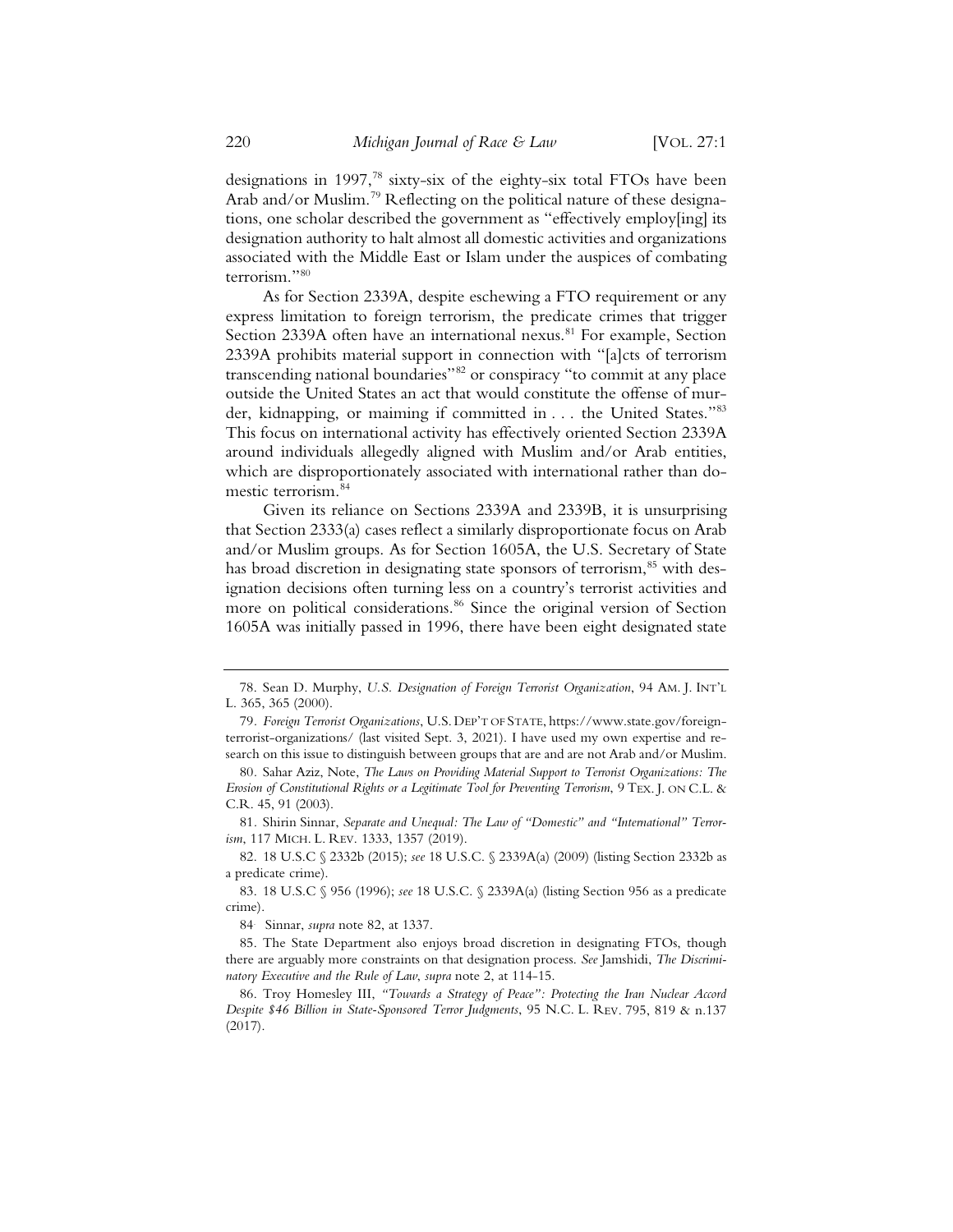designations in 1997,<sup>78</sup> sixty-six of the eighty-six total FTOs have been Arab and/or Muslim.<sup>79</sup> Reflecting on the political nature of these designations, one scholar described the government as "effectively employ[ing] its designation authority to halt almost all domestic activities and organizations associated with the Middle East or Islam under the auspices of combating terrorism."80

As for Section 2339A, despite eschewing a FTO requirement or any express limitation to foreign terrorism, the predicate crimes that trigger Section 2339A often have an international nexus.<sup>81</sup> For example, Section 2339A prohibits material support in connection with "[a]cts of terrorism transcending national boundaries"82 or conspiracy "to commit at any place outside the United States an act that would constitute the offense of murder, kidnapping, or maiming if committed in . . . the United States."83 This focus on international activity has effectively oriented Section 2339A around individuals allegedly aligned with Muslim and/or Arab entities, which are disproportionately associated with international rather than domestic terrorism.84

Given its reliance on Sections 2339A and 2339B, it is unsurprising that Section 2333(a) cases reflect a similarly disproportionate focus on Arab and/or Muslim groups. As for Section 1605A, the U.S. Secretary of State has broad discretion in designating state sponsors of terrorism,<sup>85</sup> with designation decisions often turning less on a country's terrorist activities and more on political considerations.<sup>86</sup> Since the original version of Section 1605A was initially passed in 1996, there have been eight designated state

<sup>78.</sup> Sean D. Murphy, *U.S. Designation of Foreign Terrorist Organization*, 94 AM. J. INT'L L. 365, 365 (2000).

<sup>79</sup>*. Foreign Terrorist Organizations*, U.S. DEP'T OF STATE, https://www.state.gov/foreignterrorist-organizations/ (last visited Sept. 3, 2021). I have used my own expertise and research on this issue to distinguish between groups that are and are not Arab and/or Muslim.

<sup>80</sup>*.* Sahar Aziz, Note, *The Laws on Providing Material Support to Terrorist Organizations: The Erosion of Constitutional Rights or a Legitimate Tool for Preventing Terrorism*, 9 TEX. J. ON C.L. & C.R. 45, 91 (2003).

<sup>81</sup>*.* Shirin Sinnar, *Separate and Unequal: The Law of "Domestic" and "International" Terrorism*, 117 MICH. L. REV. 1333, 1357 (2019).

<sup>82. 18</sup> U.S.C § 2332b (2015); *see* 18 U.S.C. § 2339A(a) (2009) (listing Section 2332b as a predicate crime).

<sup>83. 18</sup> U.S.C § 956 (1996); *see* 18 U.S.C. § 2339A(a) (listing Section 956 as a predicate crime).

<sup>84</sup>*.* Sinnar, *supra* note 82, at 1337.

<sup>85.</sup> The State Department also enjoys broad discretion in designating FTOs, though there are arguably more constraints on that designation process. *See* Jamshidi, *The Discriminatory Executive and the Rule of Law*, *supra* note 2, at 114-15.

<sup>86.</sup> Troy Homesley III, *"Towards a Strategy of Peace": Protecting the Iran Nuclear Accord Despite \$46 Billion in State-Sponsored Terror Judgments*, 95 N.C. L. REV. 795, 819 & n.137 (2017).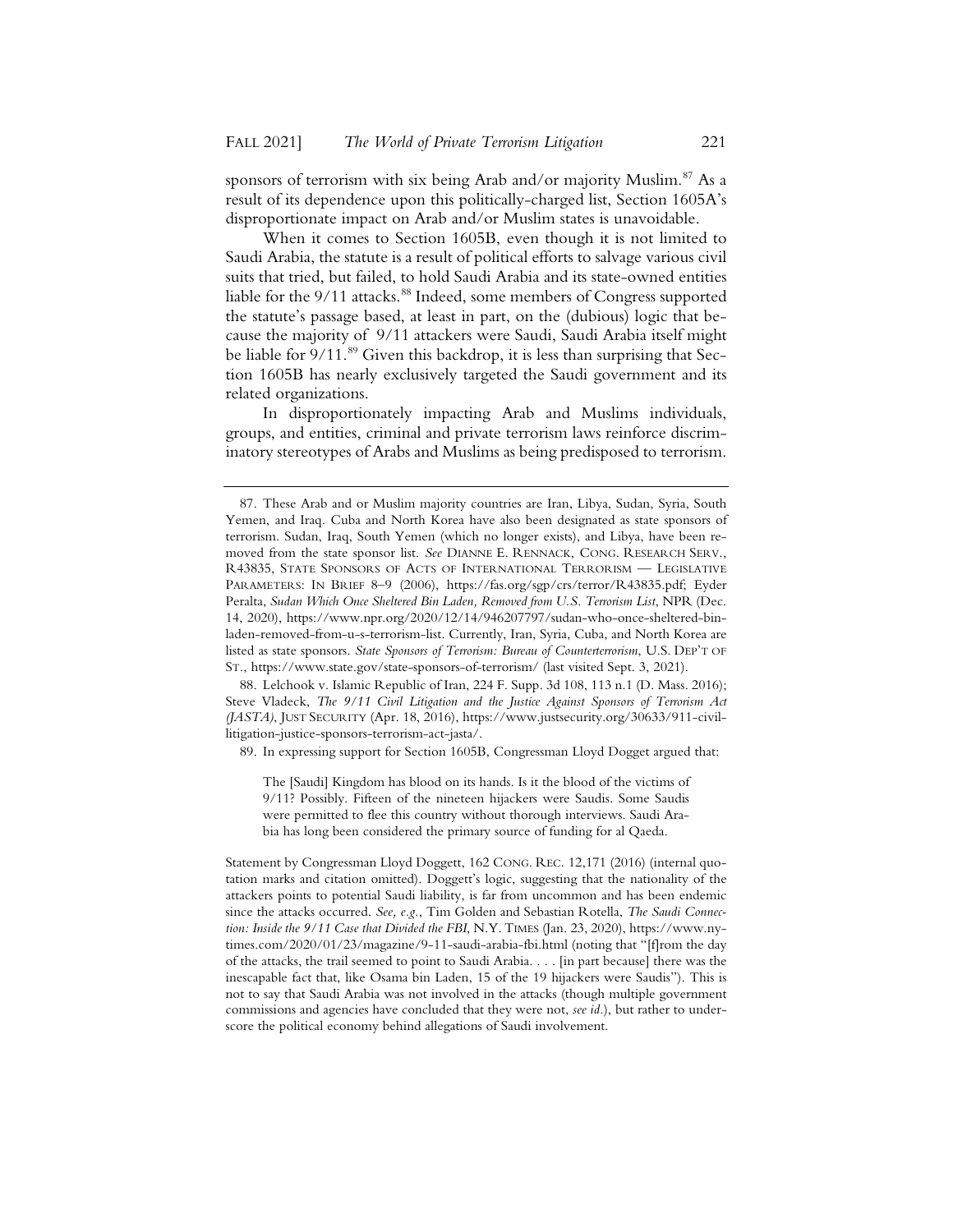sponsors of terrorism with six being Arab and/or majority Muslim.<sup>87</sup> As a result of its dependence upon this politically-charged list, Section 1605A's disproportionate impact on Arab and/or Muslim states is unavoidable.

When it comes to Section 1605B, even though it is not limited to Saudi Arabia, the statute is a result of political efforts to salvage various civil suits that tried, but failed, to hold Saudi Arabia and its state-owned entities liable for the 9/11 attacks.<sup>88</sup> Indeed, some members of Congress supported the statute's passage based, at least in part, on the (dubious) logic that because the majority of 9/11 attackers were Saudi, Saudi Arabia itself might be liable for 9/11.<sup>89</sup> Given this backdrop, it is less than surprising that Section 1605B has nearly exclusively targeted the Saudi government and its related organizations.

In disproportionately impacting Arab and Muslims individuals, groups, and entities, criminal and private terrorism laws reinforce discriminatory stereotypes of Arabs and Muslims as being predisposed to terrorism.

88. Lelchook v. Islamic Republic of Iran, 224 F. Supp. 3d 108, 113 n.1 (D. Mass. 2016); Steve Vladeck, *The 9/11 Civil Litigation and the Justice Against Sponsors of Terrorism Act (JASTA)*, JUST SECURITY (Apr. 18, 2016), https://www.justsecurity.org/30633/911-civillitigation-justice-sponsors-terrorism-act-jasta/.

89. In expressing support for Section 1605B, Congressman Lloyd Dogget argued that:

The [Saudi] Kingdom has blood on its hands. Is it the blood of the victims of 9/11? Possibly. Fifteen of the nineteen hijackers were Saudis. Some Saudis were permitted to flee this country without thorough interviews. Saudi Arabia has long been considered the primary source of funding for al Qaeda.

Statement by Congressman Lloyd Doggett, 162 CONG. REC. 12,171 (2016) (internal quotation marks and citation omitted). Doggett's logic, suggesting that the nationality of the attackers points to potential Saudi liability, is far from uncommon and has been endemic since the attacks occurred. *See, e.g.*, Tim Golden and Sebastian Rotella, *The Saudi Connection: Inside the 9/11 Case that Divided the FBI*, N.Y. TIMES (Jan. 23, 2020), https://www.nytimes.com/2020/01/23/magazine/9-11-saudi-arabia-fbi.html (noting that "[f]rom the day of the attacks, the trail seemed to point to Saudi Arabia. . . . [in part because] there was the inescapable fact that, like Osama bin Laden, 15 of the 19 hijackers were Saudis"). This is not to say that Saudi Arabia was not involved in the attacks (though multiple government commissions and agencies have concluded that they were not, *see id.*), but rather to underscore the political economy behind allegations of Saudi involvement.

<sup>87.</sup> These Arab and or Muslim majority countries are Iran, Libya, Sudan, Syria, South Yemen, and Iraq. Cuba and North Korea have also been designated as state sponsors of terrorism. Sudan, Iraq, South Yemen (which no longer exists), and Libya, have been removed from the state sponsor list. *See* DIANNE E. RENNACK, CONG. RESEARCH SERV., R43835, STATE SPONSORS OF ACTS OF INTERNATIONAL TERRORISM — LEGISLATIVE PARAMETERS: IN BRIEF 8–9 (2006), https://fas.org/sgp/crs/terror/R43835.pdf; Eyder Peralta, *Sudan Which Once Sheltered Bin Laden, Removed from U.S. Terrorism List*, NPR (Dec. 14, 2020), https://www.npr.org/2020/12/14/946207797/sudan-who-once-sheltered-binladen-removed-from-u-s-terrorism-list. Currently, Iran, Syria, Cuba, and North Korea are listed as state sponsors. *State Sponsors of Terrorism: Bureau of Counterterrorism*, U.S. DEP'T OF ST., https://www.state.gov/state-sponsors-of-terrorism/ (last visited Sept. 3, 2021).